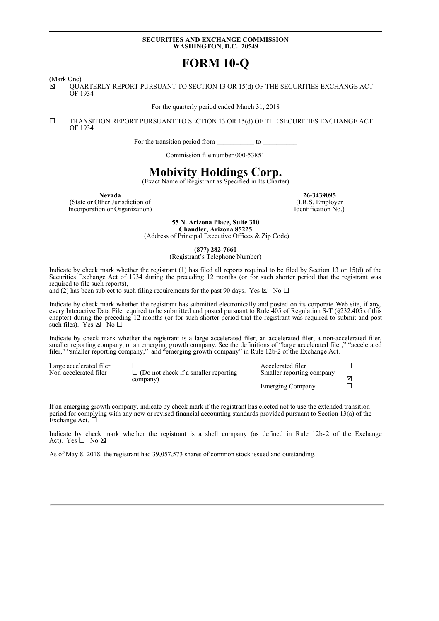#### **SECURITIES AND EXCHANGE COMMISSION WASHINGTON, D.C. 20549**

# **FORM 10-Q**

(Mark One)

☒ QUARTERLY REPORT PURSUANT TO SECTION 13 OR 15(d) OF THE SECURITIES EXCHANGE ACT OF 1934

For the quarterly period ended March 31, 2018

☐ TRANSITION REPORT PURSUANT TO SECTION 13 OR 15(d) OF THE SECURITIES EXCHANGE ACT OF 1934

For the transition period from to  $\sim$ 

Commission file number 000-53851

# **Mobivity Holdings Corp.**

(Exact Name of Registrant as Specified in Its Charter)

(State or Other Jurisdiction of (I.R.S. Employer (I.R.S. Employer ) (I.R.S. Employer ) (I.R.S. Employer Incorporation or Organization)

**Nevada 26-3439095**<br> **26-3439095**<br> **26-3439095**<br> **26-3439095**<br> **26-3439095** 

**55 N. Arizona Place, Suite 310 Chandler, Arizona 85225**

(Address of Principal Executive Offices & Zip Code)

**(877) 282-7660**

(Registrant's Telephone Number)

Indicate by check mark whether the registrant (1) has filed all reports required to be filed by Section 13 or 15(d) of the Securities Exchange Act of 1934 during the preceding 12 months (or for such shorter period that the registrant was required to file such reports),

and (2) has been subject to such filing requirements for the past 90 days. Yes  $\boxtimes$  No  $\Box$ 

Indicate by check mark whether the registrant has submitted electronically and posted on its corporate Web site, if any, every Interactive Data File required to be submitted and posted pursuant to Rule 405 of Regulation S-T (§232.405 of this chapter) during the preceding 12 months (or for such shorter period that the registrant was required to submit and post such files). Yes  $\boxtimes \cap$  No  $\square$ 

Indicate by check mark whether the registrant is a large accelerated filer, an accelerated filer, a non-accelerated filer, smaller reporting company, or an emerging growth company. See the definitions of "large accelerated filer," "accelerated filer," "smaller reporting company," and "emerging growth company" in Rule 12b-2 of the Exchange Act.

Large accelerated filer  $□$ <br>
Non-accelerated filer  $□$  (Do not check if a smaller reporting Smaller reporting company  $\Box$  (Do not check if a smaller reporting company) Smaller reporting company ☒ Emerging Company □

If an emerging growth company, indicate by check mark if the registrant has elected not to use the extended transition period for complying with any new or revised financial accounting standards provided pursuant to Section 13(a) of the Exchange Act. <del>□</del>

Indicate by check mark whether the registrant is a shell company (as defined in Rule 12b-2 of the Exchange Act). Yes  $\Box$  No  $\boxtimes$ 

As of May 8, 2018, the registrant had 39,057,573 shares of common stock issued and outstanding.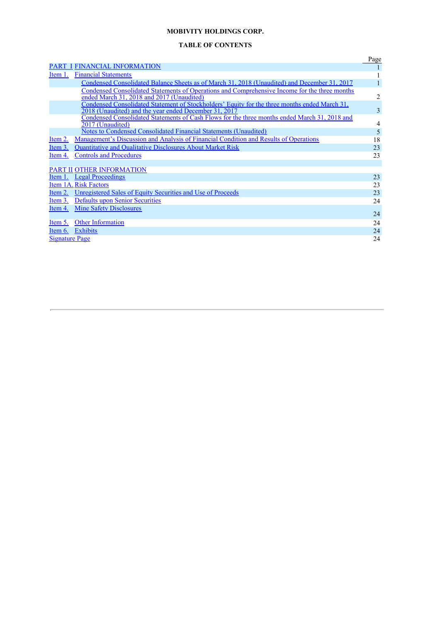## **MOBIVITY HOLDINGS CORP.**

## **TABLE OF CONTENTS**

|                       |                                                                                                                                                        | Page           |
|-----------------------|--------------------------------------------------------------------------------------------------------------------------------------------------------|----------------|
|                       | <b>PART I FINANCIAL INFORMATION</b>                                                                                                                    |                |
| Item 1.               | <b>Financial Statements</b>                                                                                                                            |                |
|                       | Condensed Consolidated Balance Sheets as of March 31, 2018 (Unaudited) and December 31, 2017                                                           |                |
|                       | Condensed Consolidated Statements of Operations and Comprehensive Income for the three months<br>ended March 31, 2018 and 2017 (Unaudited)             | $\overline{2}$ |
|                       | Condensed Consolidated Statement of Stockholders' Equity for the three months ended March 31,<br>2018 (Unaudited) and the year ended December 31, 2017 | 3              |
|                       | Condensed Consolidated Statements of Cash Flows for the three months ended March 31, 2018 and<br>2017 (Unaudited)                                      | 4              |
|                       | Notes to Condensed Consolidated Financial Statements (Unaudited)                                                                                       | 5              |
| Item 2.               | Management's Discussion and Analysis of Financial Condition and Results of Operations                                                                  | 18             |
| Item 3.               | Quantitative and Qualitative Disclosures About Market Risk                                                                                             | 23             |
| Item 4.               | <b>Controls and Procedures</b>                                                                                                                         | 23             |
|                       |                                                                                                                                                        |                |
|                       | <b>PART II OTHER INFORMATION</b>                                                                                                                       |                |
| Item 1.               | <b>Legal Proceedings</b>                                                                                                                               | 23             |
|                       | Item 1A. Risk Factors                                                                                                                                  | 23             |
| Item 2.               | Unregistered Sales of Equity Securities and Use of Proceeds                                                                                            | 23             |
| Item 3.               | <b>Defaults upon Senior Securities</b>                                                                                                                 | 24             |
| Item 4.               | <b>Mine Safety Disclosures</b>                                                                                                                         | 24             |
| Item 5.               | <b>Other Information</b>                                                                                                                               | 24             |
| Item 6.               | Exhibits                                                                                                                                               | 24             |
| <b>Signature Page</b> |                                                                                                                                                        | 24             |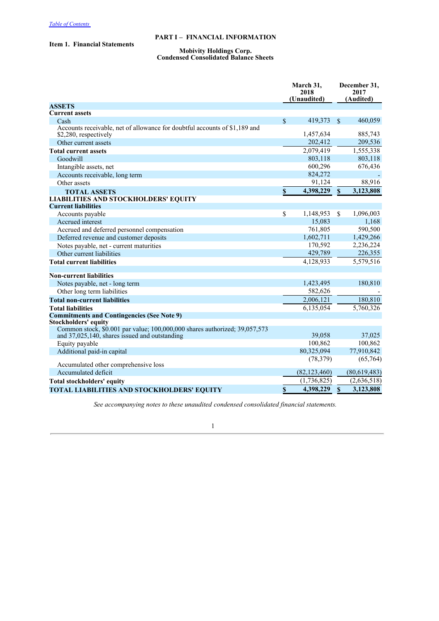## **PART I – FINANCIAL INFORMATION**

## **Item 1. Financial Statements**

#### **Mobivity Holdings Corp. Condensed Consolidated Balance Sheets**

|                                                                                                     |              | March 31,<br>2018<br>(Unaudited) |               | December 31,<br>2017<br>(Audited) |
|-----------------------------------------------------------------------------------------------------|--------------|----------------------------------|---------------|-----------------------------------|
| <b>ASSETS</b>                                                                                       |              |                                  |               |                                   |
| <b>Current assets</b>                                                                               |              |                                  |               |                                   |
| Cash                                                                                                | $\mathbb{S}$ | 419,373                          | $\mathcal{S}$ | 460,059                           |
| Accounts receivable, net of allowance for doubtful accounts of \$1,189 and<br>\$2,280, respectively |              | 1,457,634                        |               | 885,743                           |
| Other current assets                                                                                |              | 202,412                          |               | 209,536                           |
| <b>Total current assets</b>                                                                         |              | 2,079,419                        |               | 1,555,338                         |
| Goodwill                                                                                            |              | 803,118                          |               | 803,118                           |
| Intangible assets, net                                                                              |              | 600,296                          |               | 676,436                           |
| Accounts receivable, long term                                                                      |              | 824,272                          |               |                                   |
| Other assets                                                                                        |              | 91,124                           |               | 88,916                            |
| <b>TOTAL ASSETS</b>                                                                                 | $\mathbf S$  | 4,398,229                        | $\mathbf{s}$  | 3,123,808                         |
| <b>LIABILITIES AND STOCKHOLDERS' EQUITY</b>                                                         |              |                                  |               |                                   |
| <b>Current liabilities</b>                                                                          |              |                                  |               |                                   |
| Accounts payable                                                                                    | \$           | 1,148,953                        | <sup>\$</sup> | 1,096,003                         |
| Accrued interest                                                                                    |              | 15,083                           |               | 1,168                             |
| Accrued and deferred personnel compensation                                                         |              | 761,805                          |               | 590,500                           |
| Deferred revenue and customer deposits                                                              |              | 1,602,711                        |               | 1,429,266                         |
| Notes payable, net - current maturities                                                             |              | 170,592                          |               | 2,236,224                         |
| Other current liabilities                                                                           |              | 429,789                          |               | 226,355                           |
| <b>Total current liabilities</b>                                                                    |              | 4,128,933                        |               | 5,579,516                         |
| <b>Non-current liabilities</b>                                                                      |              |                                  |               |                                   |
| Notes payable, net - long term                                                                      |              | 1,423,495                        |               | 180,810                           |
| Other long term liabilities                                                                         |              | 582,626                          |               |                                   |
| <b>Total non-current liabilities</b>                                                                |              | 2.006.121                        |               | 180,810                           |
| <b>Total liabilities</b>                                                                            |              | 6,135,054                        |               | 5,760,326                         |
| <b>Commitments and Contingencies (See Note 9)</b><br><b>Stockholders' equity</b>                    |              |                                  |               |                                   |
| Common stock, \$0.001 par value; 100,000,000 shares authorized; 39,057,573                          |              |                                  |               |                                   |
| and 37,025,140, shares issued and outstanding                                                       |              | 39,058                           |               | 37,025                            |
| Equity payable                                                                                      |              | 100,862                          |               | 100,862                           |
| Additional paid-in capital                                                                          |              | 80,325,094                       |               | 77,910,842                        |
| Accumulated other comprehensive loss                                                                |              | (78, 379)                        |               | (65,764)                          |
| Accumulated deficit                                                                                 |              | (82, 123, 460)                   |               | (80,619,483)                      |
| Total stockholders' equity                                                                          |              | (1,736,825)                      |               | (2,636,518)                       |
| <b>TOTAL LIABILITIES AND STOCKHOLDERS' EQUITY</b>                                                   | \$           | 4,398,229                        | $\mathbf{\$}$ | 3,123,808                         |

*See accompanying notes to these unaudited condensed consolidated financial statements.*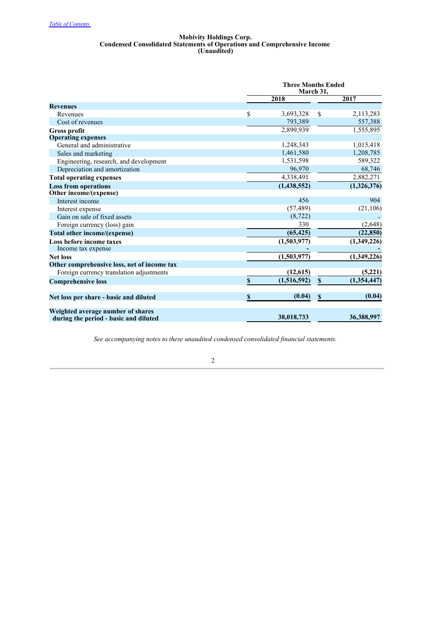#### **Mobivity Holdings Corp. Condensed Consolidated Statements of Operations and Comprehensive Income (Unaudited)**

|                                                                            | <b>Three Months Ended</b><br>March 31, |             |                           |               |  |  |
|----------------------------------------------------------------------------|----------------------------------------|-------------|---------------------------|---------------|--|--|
|                                                                            |                                        | 2018        |                           | 2017          |  |  |
| <b>Revenues</b>                                                            |                                        |             |                           |               |  |  |
| Revenues                                                                   | \$                                     | 3,693,328   | \$                        | 2,113,283     |  |  |
| Cost of revenues                                                           |                                        | 793,389     |                           | 557,388       |  |  |
| <b>Gross profit</b>                                                        |                                        | 2,899,939   |                           | 1,555,895     |  |  |
| <b>Operating expenses</b>                                                  |                                        |             |                           |               |  |  |
| General and administrative                                                 |                                        | 1,248,343   |                           | 1,015,418     |  |  |
| Sales and marketing                                                        |                                        | 1,461,580   |                           | 1,208,785     |  |  |
| Engineering, research, and development                                     |                                        | 1,531,598   |                           | 589,322       |  |  |
| Depreciation and amortization                                              |                                        | 96,970      |                           | 68,746        |  |  |
| <b>Total operating expenses</b>                                            |                                        | 4,338,491   |                           | 2,882,271     |  |  |
| <b>Loss from operations</b>                                                |                                        | (1,438,552) |                           | (1,326,376)   |  |  |
| Other income/(expense)                                                     |                                        |             |                           |               |  |  |
| Interest income                                                            |                                        | 456         |                           | 904           |  |  |
| Interest expense                                                           |                                        | (57, 489)   |                           | (21, 106)     |  |  |
| Gain on sale of fixed assets                                               |                                        | (8, 722)    |                           |               |  |  |
| Foreign currency (loss) gain                                               |                                        | 330         |                           | (2,648)       |  |  |
| Total other income/(expense)                                               |                                        | (65, 425)   |                           | (22, 850)     |  |  |
| <b>Loss before income taxes</b>                                            |                                        | (1,503,977) |                           | (1,349,226)   |  |  |
| Income tax expense                                                         |                                        |             |                           |               |  |  |
| <b>Net loss</b>                                                            |                                        | (1,503,977) |                           | (1,349,226)   |  |  |
| Other comprehensive loss, net of income tax                                |                                        |             |                           |               |  |  |
| Foreign currency translation adjustments                                   |                                        | (12, 615)   |                           | (5,221)       |  |  |
| <b>Comprehensive loss</b>                                                  | \$                                     | (1,516,592) | $\boldsymbol{\mathsf{S}}$ | (1, 354, 447) |  |  |
| Net loss per share - basic and diluted                                     | \$                                     | (0.04)      | \$                        | (0.04)        |  |  |
| Weighted average number of shares<br>during the period - basic and diluted |                                        | 38,018,733  |                           | 36,388,997    |  |  |

*See accompanying notes to these unaudited condensed consolidated financial statements.*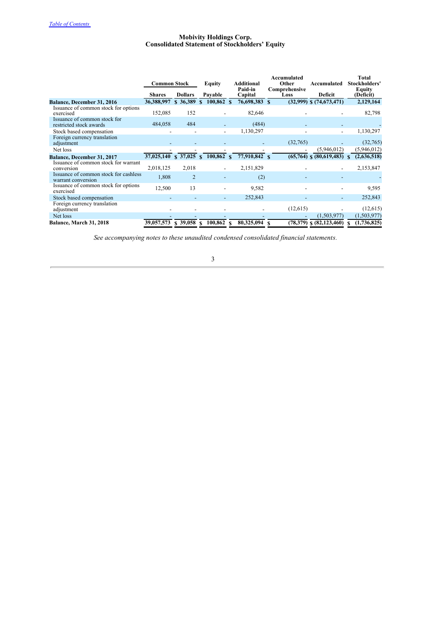#### **Mobivity Holdings Corp. Consolidated Statement of Stockholders' Equity**

|                                                             | <b>Common Stock</b>                |                |              | Equity       | Additional<br>Paid-in | Accumulated<br>Other<br>Comprehensive |          |                                 |             |  |  |  |  |  |  |  |  | Accumulated | Total<br>Stockholders'<br><b>Equity</b> |
|-------------------------------------------------------------|------------------------------------|----------------|--------------|--------------|-----------------------|---------------------------------------|----------|---------------------------------|-------------|--|--|--|--|--|--|--|--|-------------|-----------------------------------------|
|                                                             | <b>Shares</b>                      | <b>Dollars</b> |              | Payable      | Capital               | Loss                                  |          | <b>Deficit</b>                  | (Deficit)   |  |  |  |  |  |  |  |  |             |                                         |
| Balance, December 31, 2016                                  | 36,388,997                         | \$36,389       | $\mathbf{s}$ | $100,862$ \$ | 76,698,383 \$         |                                       |          | $(32,999)$ \$ $(74,673,471)$    | 2,129,164   |  |  |  |  |  |  |  |  |             |                                         |
| Issuance of common stock for options                        |                                    |                |              |              |                       |                                       |          |                                 |             |  |  |  |  |  |  |  |  |             |                                         |
| exercised                                                   | 152,085                            | 152            |              |              | 82,646                |                                       |          |                                 | 82,798      |  |  |  |  |  |  |  |  |             |                                         |
| Issuance of common stock for                                |                                    |                |              |              |                       |                                       |          |                                 |             |  |  |  |  |  |  |  |  |             |                                         |
| restricted stock awards                                     | 484,058                            | 484            |              |              | (484)                 |                                       |          |                                 |             |  |  |  |  |  |  |  |  |             |                                         |
| Stock based compensation                                    |                                    |                |              | -            | 1,130,297             |                                       |          |                                 | 1,130,297   |  |  |  |  |  |  |  |  |             |                                         |
| Foreign currency translation                                |                                    |                |              |              |                       |                                       | (32,765) |                                 | (32,765)    |  |  |  |  |  |  |  |  |             |                                         |
| adjustment                                                  |                                    |                |              |              |                       |                                       |          |                                 |             |  |  |  |  |  |  |  |  |             |                                         |
| Net loss                                                    |                                    |                |              |              |                       |                                       |          | (5,946,012)                     | (5,946,012) |  |  |  |  |  |  |  |  |             |                                         |
| Balance, December 31, 2017                                  | 37,025,140 \$ 37,025 \$ 100,862 \$ |                |              |              | 77,910,842 \$         |                                       |          | $(65,764)$ \$ $(80,619,483)$ \$ | (2,636,518) |  |  |  |  |  |  |  |  |             |                                         |
| Issuance of common stock for warrant<br>conversion          | 2,018,125                          | 2,018          |              |              | 2,151,829             |                                       |          |                                 | 2,153,847   |  |  |  |  |  |  |  |  |             |                                         |
| Issuance of common stock for cashless<br>warrant conversion | 1,808                              | $\overline{2}$ |              |              | (2)                   |                                       |          |                                 |             |  |  |  |  |  |  |  |  |             |                                         |
| Issuance of common stock for options<br>exercised           | 12,500                             | 13             |              |              | 9,582                 |                                       |          |                                 | 9,595       |  |  |  |  |  |  |  |  |             |                                         |
| Stock based compensation                                    |                                    |                |              |              | 252,843               |                                       |          |                                 | 252,843     |  |  |  |  |  |  |  |  |             |                                         |
| Foreign currency translation<br>adjustment                  |                                    |                |              |              |                       |                                       | (12,615) |                                 | (12, 615)   |  |  |  |  |  |  |  |  |             |                                         |
| Net loss                                                    |                                    |                |              |              |                       |                                       |          | (1,503,977)                     | (1,503,977) |  |  |  |  |  |  |  |  |             |                                         |
| Balance, March 31, 2018                                     | 39,057,573 \$ 39,058 \$            |                |              | $100,862$ \$ | 80,325,094            | S                                     |          | $(78,379)$ \$ $(82,123,460)$    | (1,736,825) |  |  |  |  |  |  |  |  |             |                                         |

*See accompanying notes to these unaudited condensed consolidated financial statements.*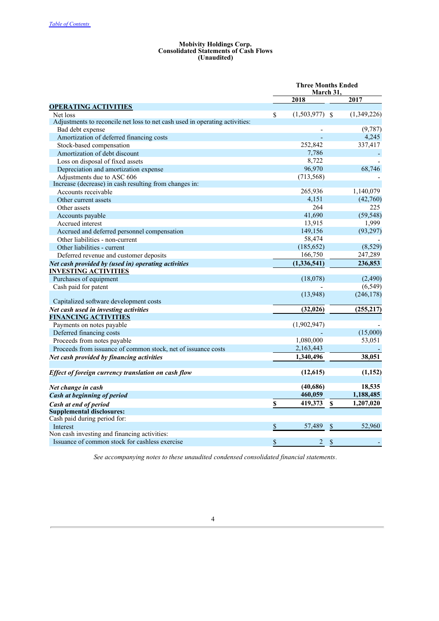#### **Mobivity Holdings Corp. Consolidated Statements of Cash Flows (Unaudited)**

|                                                                             | <b>Three Months Ended</b><br>March 31, |                  |                    |             |  |
|-----------------------------------------------------------------------------|----------------------------------------|------------------|--------------------|-------------|--|
|                                                                             |                                        | 2018             |                    | 2017        |  |
| <b>OPERATING ACTIVITIES</b>                                                 |                                        |                  |                    |             |  |
| Net loss                                                                    | $\mathbf S$                            | $(1,503,977)$ \$ |                    | (1,349,226) |  |
| Adjustments to reconcile net loss to net cash used in operating activities: |                                        |                  |                    |             |  |
| Bad debt expense                                                            |                                        |                  |                    | (9,787)     |  |
| Amortization of deferred financing costs                                    |                                        |                  |                    | 4,245       |  |
| Stock-based compensation                                                    |                                        | 252,842          |                    | 337,417     |  |
| Amortization of debt discount                                               |                                        | 7,786            |                    |             |  |
| Loss on disposal of fixed assets                                            |                                        | 8,722            |                    |             |  |
| Depreciation and amortization expense                                       |                                        | 96,970           |                    | 68,746      |  |
| Adjustments due to ASC 606                                                  |                                        | (713, 568)       |                    |             |  |
| Increase (decrease) in cash resulting from changes in:                      |                                        |                  |                    |             |  |
| Accounts receivable                                                         |                                        | 265,936          |                    | 1,140,079   |  |
| Other current assets                                                        |                                        | 4,151            |                    | (42,760)    |  |
| Other assets                                                                |                                        | 264              |                    | 225         |  |
| Accounts payable                                                            |                                        | 41,690           |                    | (59, 548)   |  |
| Accrued interest                                                            |                                        | 13,915           |                    | 1,999       |  |
| Accrued and deferred personnel compensation                                 |                                        | 149,156          |                    | (93, 297)   |  |
| Other liabilities - non-current                                             |                                        | 58,474           |                    |             |  |
| Other liabilities - current                                                 |                                        | (185, 652)       |                    | (8,529)     |  |
| Deferred revenue and customer deposits                                      |                                        | 166,750          |                    | 247,289     |  |
| Net cash provided by (used in) operating activities                         |                                        | (1, 336, 541)    |                    | 236,853     |  |
| <b>INVESTING ACTIVITIES</b>                                                 |                                        |                  |                    |             |  |
| Purchases of equipment                                                      |                                        | (18,078)         |                    | (2,490)     |  |
| Cash paid for patent                                                        |                                        |                  |                    | (6, 549)    |  |
|                                                                             |                                        | (13,948)         |                    | (246, 178)  |  |
| Capitalized software development costs                                      |                                        |                  |                    |             |  |
| Net cash used in investing activities                                       |                                        | (32, 026)        |                    | (255, 217)  |  |
| <b>FINANCING ACTIVITIES</b>                                                 |                                        |                  |                    |             |  |
| Payments on notes payable                                                   |                                        | (1,902,947)      |                    |             |  |
| Deferred financing costs                                                    |                                        |                  |                    | (15,000)    |  |
| Proceeds from notes payable                                                 |                                        | 1,080,000        |                    | 53,051      |  |
| Proceeds from issuance of common stock, net of issuance costs               |                                        | 2,163,443        |                    |             |  |
| Net cash provided by financing activities                                   |                                        | 1,340,496        |                    | 38,051      |  |
| Effect of foreign currency translation on cash flow                         |                                        | (12, 615)        |                    | (1, 152)    |  |
| Net change in cash                                                          |                                        | (40, 686)        |                    | 18,535      |  |
| Cash at beginning of period                                                 |                                        | 460,059          |                    | 1,188,485   |  |
| Cash at end of period                                                       | \$                                     | 419,373          | $\pmb{\mathbb{S}}$ | 1,207,020   |  |
| <b>Supplemental disclosures:</b>                                            |                                        |                  |                    |             |  |
| Cash paid during period for:                                                |                                        |                  |                    |             |  |
| Interest                                                                    | S                                      | 57,489           | \$                 | 52,960      |  |
| Non cash investing and financing activities:                                |                                        |                  |                    |             |  |
| Issuance of common stock for cashless exercise                              | \$                                     | $\overline{2}$   | \$                 |             |  |

*See accompanying notes to these unaudited condensed consolidated financial statements.*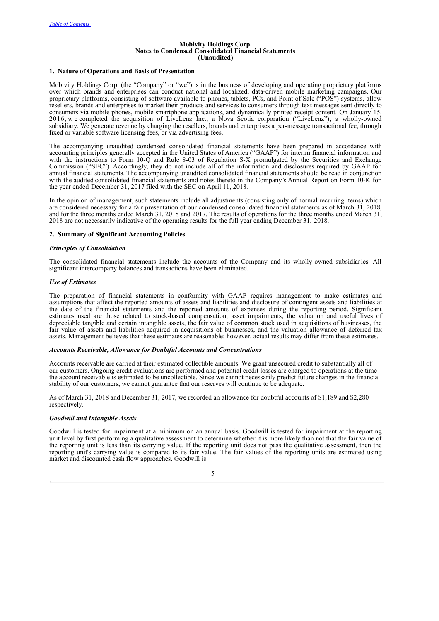#### **Mobivity Holdings Corp. Notes to Condensed Consolidated Financial Statements (Unaudited)**

#### **1. Nature of Operations and Basis of Presentation**

Mobivity Holdings Corp. (the "Company" or "we") is in the business of developing and operating proprietary platforms over which brands and enterprises can conduct national and localized, data-driven mobile marketing campaigns. Our proprietary platforms, consisting of software available to phones, tablets, PCs, and Point of Sale ("POS") systems, allow resellers, brands and enterprises to market their products and services to consumers through text messages sent directly to consumers via mobile phones, mobile smartphone applications, and dynamically printed receipt content. On January 15, 2016, w e completed the acquisition of LiveLenz Inc., a Nova Scotia corporation ("LiveLenz"), a wholly-owned subsidiary. We generate revenue by charging the resellers, brands and enterprises a per-message transactional fee, through fixed or variable software licensing fees, or via advertising fees.

The accompanying unaudited condensed consolidated financial statements have been prepared in accordance with accounting principles generally accepted in the United States of America ("GAAP") for interim financial information and with the instructions to Form 10-Q and Rule 8-03 of Regulation S-X promulgated by the Securities and Exchange Commission ("SEC"). Accordingly, they do not include all of the information and disclosures required by GAAP for annual financial statements. The accompanying unaudited consolidated financial statements should be read in conjunction with the audited consolidated financial statements and notes thereto in the Company's Annual Report on Form 10-K for the year ended December 31, 2017 filed with the SEC on April 11, 2018.

In the opinion of management, such statements include all adjustments (consisting only of normal recurring items) which are considered necessary for a fair presentation of our condensed consolidated financial statements as of March 31, 2018, and for the three months ended March 31, 2018 and 2017. The results of operations for the three months ended March 31, 2018 are not necessarily indicative of the operating results for the full year ending December 31, 2018.

#### **2. Summary of Significant Accounting Policies**

#### *Principles of Consolidation*

The consolidated financial statements include the accounts of the Company and its wholly-owned subsidiaries. All significant intercompany balances and transactions have been eliminated.

#### *Use of Estimates*

The preparation of financial statements in conformity with GAAP requires management to make estimates and assumptions that affect the reported amounts of assets and liabilities and disclosure of contingent assets and liabilities at the date of the financial statements and the reported amounts of expenses during the reporting period. Significant estimates used are those related to stock-based compensation, asset impairments, the valuation and useful lives of depreciable tangible and certain intangible assets, the fair value of common stock used in acquisitions of businesses, the fair value of assets and liabilities acquired in acquisitions of businesses, and the valuation allowance of deferred tax assets. Management believes that these estimates are reasonable; however, actual results may differ from these estimates.

#### *Accounts Receivable, Allowance for Doubtful Accounts and Concentrations*

Accounts receivable are carried at their estimated collectible amounts. We grant unsecured credit to substantially all of our customers. Ongoing credit evaluations are performed and potential credit losses are charged to operations at the time the account receivable is estimated to be uncollectible. Since we cannot necessarily predict future changes in the financial stability of our customers, we cannot guarantee that our reserves will continue to be adequate.

As of March 31, 2018 and December 31, 2017, we recorded an allowance for doubtful accounts of \$1,189 and \$2,280 respectively.

#### *Goodwill and Intangible Assets*

Goodwill is tested for impairment at a minimum on an annual basis. Goodwill is tested for impairment at the reporting unit level by first performing a qualitative assessment to determine whether it is more likely than not that the fair value of the reporting unit is less than its carrying value. If the reporting unit does not pass the qualitative assessment, then the reporting unit's carrying value is compared to its fair value. The fair values of the reporting units are estimated using market and discounted cash flow approaches. Goodwill is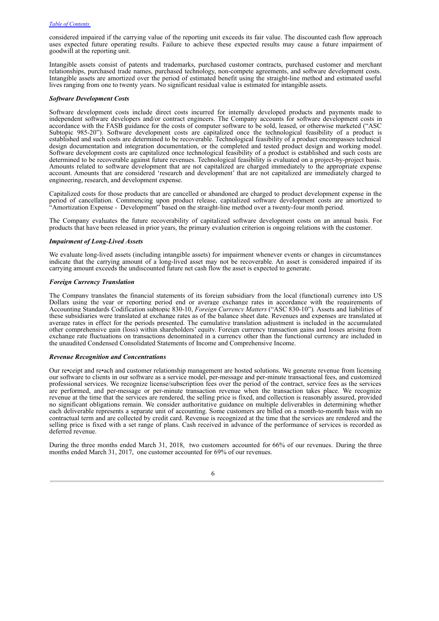considered impaired if the carrying value of the reporting unit exceeds its fair value. The discounted cash flow approach uses expected future operating results. Failure to achieve these expected results may cause a future impairment of goodwill at the reporting unit.

Intangible assets consist of patents and trademarks, purchased customer contracts, purchased customer and merchant relationships, purchased trade names, purchased technology, non-compete agreements, and software development costs. Intangible assets are amortized over the period of estimated benefit using the straight-line method and estimated useful lives ranging from one to twenty years. No significant residual value is estimated for intangible assets.

#### *Software Development Costs*

Software development costs include direct costs incurred for internally developed products and payments made to independent software developers and/or contract engineers. The Company accounts for software development costs in accordance with the FASB guidance for the costs of computer software to be sold, leased, or otherwise marketed ("ASC Subtopic 985-20"). Software development costs are capitalized once the technological feasibility of a product is established and such costs are determined to be recoverable. Technological feasibility of a product encompasses technical design documentation and integration documentation, or the completed and tested product design and working model. Software development costs are capitalized once technological feasibility of a product is established and such costs are determined to be recoverable against future revenues. Technological feasibility is evaluated on a project-by-project basis. Amounts related to software development that are not capitalized are charged immediately to the appropriate expense account. Amounts that are considered 'research and development' that are not capitalized are immediately charged to engineering, research, and development expense.

Capitalized costs for those products that are cancelled or abandoned are charged to product development expense in the period of cancellation. Commencing upon product release, capitalized software development costs are amortized to "Amortization Expense - Development" based on the straight-line method over a twenty-four month period.

The Company evaluates the future recoverability of capitalized software development costs on an annual basis. For products that have been released in prior years, the primary evaluation criterion is ongoing relations with the customer.

#### *Impairment of Long-Lived Assets*

We evaluate long-lived assets (including intangible assets) for impairment whenever events or changes in circumstances indicate that the carrying amount of a long-lived asset may not be recoverable. An asset is considered impaired if its carrying amount exceeds the undiscounted future net cash flow the asset is expected to generate.

#### *Foreign Currency Translation*

The Company translates the financial statements of its foreign subsidiary from the local (functional) currency into US Dollars using the year or reporting period end or average exchange rates in accordance with the requirements of Accounting Standards Codification subtopic 830-10, *Foreign Currency Matters* ("ASC 830-10")*.* Assets and liabilities of these subsidiaries were translated at exchange rates as of the balance sheet date. Revenues and expenses are translated at average rates in effect for the periods presented. The cumulative translation adjustment is included in the accumulated other comprehensive gain (loss) within shareholders' equity. Foreign currency transaction gains and losses arising from exchange rate fluctuations on transactions denominated in a currency other than the functional currency are included in the unaudited Condensed Consolidated Statements of Income and Comprehensive Income.

#### *Revenue Recognition and Concentrations*

Our re•ceipt and re•ach and customer relationship management are hosted solutions. We generate revenue from licensing our software to clients in our software as a service model, per-message and per-minute transactional fees, and customized professional services. We recognize license/subscription fees over the period of the contract, service fees as the services are performed, and per-message or per-minute transaction revenue when the transaction takes place. We recognize revenue at the time that the services are rendered, the selling price is fixed, and collection is reasonably assured, provided no significant obligations remain. We consider authoritative guidance on multiple deliverables in determining whether each deliverable represents a separate unit of accounting. Some customers are billed on a month-to-month basis with no contractual term and are collected by credit card. Revenue is recognized at the time that the services are rendered and the selling price is fixed with a set range of plans. Cash received in advance of the performance of services is recorded as deferred revenue.

During the three months ended March 31, 2018, two customers accounted for 66% of our revenues. During the three months ended March 31, 2017, one customer accounted for 69% of our revenues.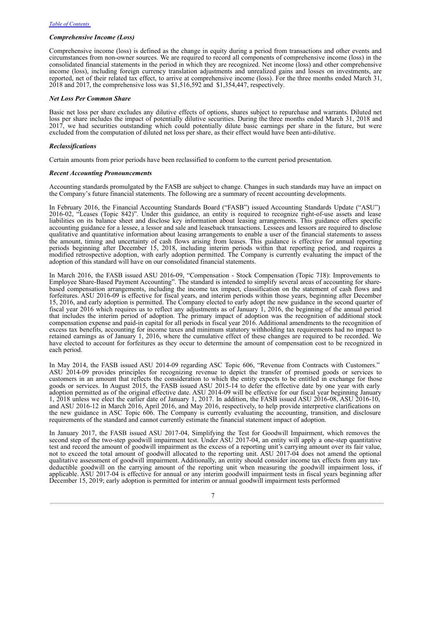#### *Comprehensive Income (Loss)*

Comprehensive income (loss) is defined as the change in equity during a period from transactions and other events and circumstances from non-owner sources. We are required to record all components of comprehensive income (loss) in the consolidated financial statements in the period in which they are recognized. Net income (loss) and other comprehensive income (loss), including foreign currency translation adjustments and unrealized gains and losses on investments, are reported, net of their related tax effect, to arrive at comprehensive income (loss). For the three months ended March 31, 2018 and 2017, the comprehensive loss was \$1,516,592 and \$1,354,447, respectively.

#### *Net Loss Per Common Share*

Basic net loss per share excludes any dilutive effects of options, shares subject to repurchase and warrants. Diluted net loss per share includes the impact of potentially dilutive securities. During the three months ended March 31, 2018 and 2017, we had securities outstanding which could potentially dilute basic earnings per share in the future, but were excluded from the computation of diluted net loss per share, as their effect would have been anti-dilutive.

#### *Reclassifications*

Certain amounts from prior periods have been reclassified to conform to the current period presentation.

#### *Recent Accounting Pronouncements*

Accounting standards promulgated by the FASB are subject to change. Changes in such standards may have an impact on the Company's future financial statements. The following are a summary of recent accounting developments.

In February 2016, the Financial Accounting Standards Board ("FASB") issued Accounting Standards Update ("ASU") 2016-02, "Leases (Topic 842)". Under this guidance, an entity is required to recognize right-of-use assets and lease liabilities on its balance sheet and disclose key information about leasing arrangements. This guidance offers specific accounting guidance for a lessee, a lessor and sale and leaseback transactions. Lessees and lessors are required to disclose qualitative and quantitative information about leasing arrangements to enable a user of the financial statements to assess the amount, timing and uncertainty of cash flows arising from leases. This guidance is effective for annual reporting periods beginning after December 15, 2018, including interim periods within that reporting period, and requires a modified retrospective adoption, with early adoption permitted. The Company is currently evaluating the impact of the adoption of this standard will have on our consolidated financial statements.

In March 2016, the FASB issued ASU 2016-09, "Compensation - Stock Compensation (Topic 718): Improvements to Employee Share-Based Payment Accounting". The standard is intended to simplify several areas of accounting for sharebased compensation arrangements, including the income tax impact, classification on the statement of cash flows and forfeitures. ASU 2016-09 is effective for fiscal years, and interim periods within those years, beginning after December 15, 2016, and early adoption is permitted. The Company elected to early adopt the new guidance in the second quarter of fiscal year 2016 which requires us to reflect any adjustments as of January 1, 2016, the beginning of the annual period that includes the interim period of adoption. The primary impact of adoption was the recognition of additional stock compensation expense and paid-in capital for all periods in fiscal year 2016. Additional amendments to the recognition of excess tax benefits, accounting for income taxes and minimum statutory withholding tax requirements had no impact to retained earnings as of January 1, 2016, where the cumulative effect of these changes are required to be recorded. We have elected to account for forfeitures as they occur to determine the amount of compensation cost to be recognized in each period.

In May 2014, the FASB issued ASU 2014-09 regarding ASC Topic 606, "Revenue from Contracts with Customers." ASU 2014-09 provides principles for recognizing revenue to depict the transfer of promised goods or services to customers in an amount that reflects the consideration to which the entity expects to be entitled in exchange for those goods or services. In August 2015, the FASB issued ASU 2015-14 to defer the effective date by one year with early adoption permitted as of the original effective date. ASU 2014-09 will be effective for our fiscal year beginning January 1, 2018 unless we elect the earlier date of January 1, 2017. In addition, the FASB issued ASU 2016-08, ASU 2016-10, and ASU 2016-12 in March 2016, April 2016, and May 2016, respectively, to help provide interpretive clarifications on the new guidance in ASC Topic 606. The Company is currently evaluating the accounting, transition, and disclosure requirements of the standard and cannot currently estimate the financial statement impact of adoption.

In January 2017, the FASB issued ASU 2017-04, Simplifying the Test for Goodwill Impairment, which removes the second step of the two-step goodwill impairment test. Under ASU 2017-04, an entity will apply a one-step quantitative test and record the amount of goodwill impairment as the excess of a reporting unit's carrying amount over its fair value, not to exceed the total amount of goodwill allocated to the reporting unit. ASU 2017-04 does not amend the optional qualitative assessment of goodwill impairment. Additionally, an entity should consider income tax effects from any taxdeductible goodwill on the carrying amount of the reporting unit when measuring the goodwill impairment loss, if applicable. ASU 2017-04 is effective for annual or any interim goodwill impairment tests in fiscal years beginning after December 15, 2019; early adoption is permitted for interim or annual goodwill impairment tests performed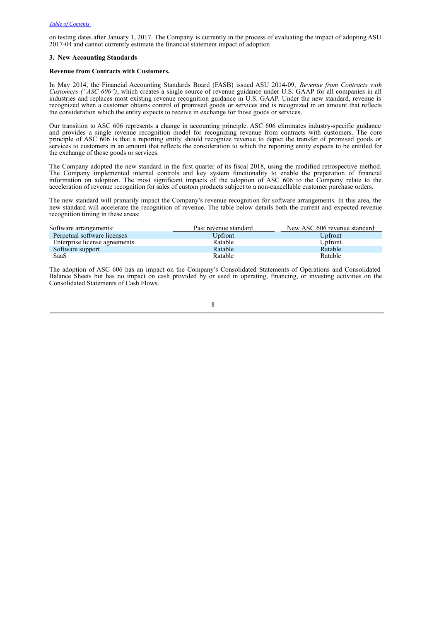on testing dates after January 1, 2017. The Company is currently in the process of evaluating the impact of adopting ASU 2017-04 and cannot currently estimate the financial statement impact of adoption.

#### **3. New Accounting Standards**

#### **Revenue from Contracts with Customers.**

In May 2014, the Financial Accounting Standards Board (FASB) issued ASU 2014-09, *Revenue from Contracts with Customers ("ASC 606")*, which creates a single source of revenue guidance under U.S. GAAP for all companies in all industries and replaces most existing revenue recognition guidance in U.S. GAAP. Under the new standard, revenue is recognized when a customer obtains control of promised goods or services and is recognized in an amount that reflects the consideration which the entity expects to receive in exchange for those goods or services.

Our transition to ASC 606 represents a change in accounting principle. ASC 606 eliminates industry-specific guidance and provides a single revenue recognition model for recognizing revenue from contracts with customers. The core principle of ASC 606 is that a reporting entity should recognize revenue to depict the transfer of promised goods or services to customers in an amount that reflects the consideration to which the reporting entity expects to be entitled for the exchange of those goods or services.

The Company adopted the new standard in the first quarter of its fiscal 2018, using the modified retrospective method. The Company implemented internal controls and key system functionality to enable the preparation of financial information on adoption. The most significant impacts of the adoption of ASC 606 to the Company relate to the acceleration of revenue recognition for sales of custom products subject to a non-cancellable customer purchase orders.

The new standard will primarily impact the Company's revenue recognition for software arrangements. In this area, the new standard will accelerate the recognition of revenue. The table below details both the current and expected revenue recognition timing in these areas:

| Software arrangements:        | Past revenue standard | New ASC 606 revenue standard |
|-------------------------------|-----------------------|------------------------------|
| Perpetual software licenses   | Upfront               | Upfront                      |
| Enterprise license agreements | Ratable               | Upfront                      |
| Software support              | Ratable               | Ratable                      |
| SaaS                          | Ratable               | Ratable                      |

The adoption of ASC 606 has an impact on the Company's Consolidated Statements of Operations and Consolidated Balance Sheets but has no impact on cash provided by or used in operating, financing, or investing activities on the Consolidated Statements of Cash Flows.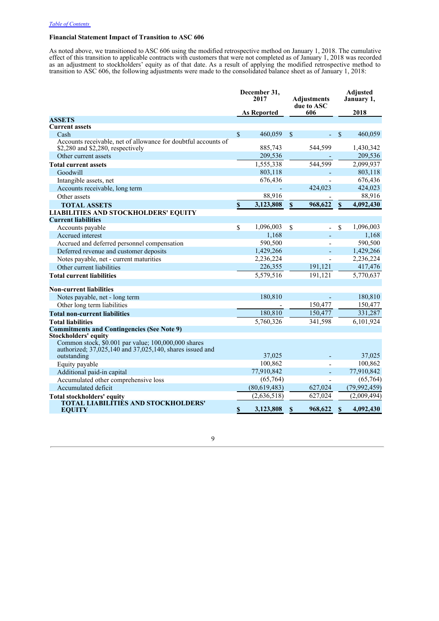## **Financial Statement Impact of Transition to ASC 606**

As noted above, we transitioned to ASC 606 using the modified retrospective method on January 1, 2018. The cumulative effect of this transition to applicable contracts with customers that were not completed as of January 1, 2018 was recorded as an adjustment to stockholders' equity as of that date. As a result of applying the modified retrospective method to transition to ASC 606, the following adjustments were made to the consolidated balance sheet as of January 1, 2018:

|                                                                                                                 | December 31,<br>2017 |                    |               | <b>Adjustments</b><br>due to ASC |               | <b>Adjusted</b><br>January 1, |
|-----------------------------------------------------------------------------------------------------------------|----------------------|--------------------|---------------|----------------------------------|---------------|-------------------------------|
|                                                                                                                 |                      | <b>As Reported</b> |               | 606                              |               | 2018                          |
| <b>ASSETS</b>                                                                                                   |                      |                    |               |                                  |               |                               |
| <b>Current assets</b>                                                                                           |                      |                    |               |                                  |               |                               |
| Cash                                                                                                            | $\mathcal{S}$        | 460,059            | $\mathcal{S}$ |                                  | $\mathcal{S}$ | 460,059                       |
| Accounts receivable, net of allowance for doubtful accounts of<br>\$2,280 and \$2,280, respectively             |                      | 885,743            |               | 544,599                          |               | 1,430,342                     |
| Other current assets                                                                                            |                      | 209,536            |               |                                  |               | 209,536                       |
| <b>Total current assets</b>                                                                                     |                      | 1,555,338          |               | 544,599                          |               | 2,099,937                     |
| Goodwill                                                                                                        |                      | 803,118            |               |                                  |               | 803,118                       |
| Intangible assets, net                                                                                          |                      | 676,436            |               |                                  |               | 676,436                       |
| Accounts receivable, long term                                                                                  |                      |                    |               | 424,023                          |               | 424,023                       |
| Other assets                                                                                                    |                      | 88,916             |               |                                  |               | 88,916                        |
| <b>TOTAL ASSETS</b>                                                                                             | $\mathbf{s}$         | 3,123,808          | $\mathbf{s}$  | 968,622                          | $\mathbf{s}$  | 4,092,430                     |
| <b>LIABILITIES AND STOCKHOLDERS' EQUITY</b>                                                                     |                      |                    |               |                                  |               |                               |
| <b>Current liabilities</b>                                                                                      |                      |                    |               |                                  |               |                               |
| Accounts payable                                                                                                | \$                   | 1,096,003          | \$            | $\overline{\phantom{a}}$         | \$            | 1,096,003                     |
| Accrued interest                                                                                                |                      | 1,168              |               |                                  |               | 1,168                         |
| Accrued and deferred personnel compensation                                                                     |                      | 590,500            |               |                                  |               | 590,500                       |
| Deferred revenue and customer deposits                                                                          |                      | 1,429,266          |               |                                  |               | 1,429,266                     |
| Notes payable, net - current maturities                                                                         |                      | 2,236,224          |               |                                  |               | 2,236,224                     |
| Other current liabilities                                                                                       |                      | 226,355            |               | 191,121                          |               | 417,476                       |
| <b>Total current liabilities</b>                                                                                |                      | 5,579,516          |               | 191,121                          |               | 5,770,637                     |
| <b>Non-current liabilities</b>                                                                                  |                      |                    |               |                                  |               |                               |
| Notes payable, net - long term                                                                                  |                      | 180,810            |               |                                  |               | 180,810                       |
| Other long term liabilities                                                                                     |                      |                    |               | 150,477                          |               | 150,477                       |
| <b>Total non-current liabilities</b>                                                                            |                      | 180,810            |               | 150,477                          |               | 331,287                       |
|                                                                                                                 |                      |                    |               | 341,598                          |               | 6,101,924                     |
| <b>Total liabilities</b><br><b>Commitments and Contingencies (See Note 9)</b>                                   |                      | 5,760,326          |               |                                  |               |                               |
| <b>Stockholders' equity</b>                                                                                     |                      |                    |               |                                  |               |                               |
| Common stock, \$0.001 par value; 100,000,000 shares<br>authorized; 37,025,140 and 37,025,140, shares issued and |                      |                    |               |                                  |               |                               |
| outstanding                                                                                                     |                      | 37,025             |               |                                  |               | 37,025                        |
| Equity payable                                                                                                  |                      | 100,862            |               |                                  |               | 100,862                       |
| Additional paid-in capital                                                                                      |                      | 77,910,842         |               |                                  |               | 77,910,842                    |
| Accumulated other comprehensive loss                                                                            |                      | (65,764)           |               |                                  |               | (65,764)                      |
| Accumulated deficit                                                                                             |                      | (80,619,483)       |               | 627,024                          |               | (79, 992, 459)                |
| Total stockholders' equity                                                                                      |                      | (2,636,518)        |               | 627,024                          |               | (2,009,494)                   |
| <b>TOTAL LIABILITIES AND STOCKHOLDERS'</b><br><b>EQUITY</b>                                                     | \$                   | 3,123,808          | \$            | 968,622                          | S             | 4,092,430                     |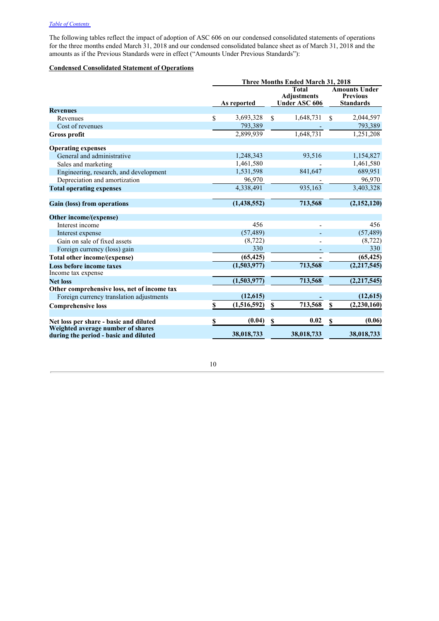The following tables reflect the impact of adoption of ASC 606 on our condensed consolidated statements of operations for the three months ended March 31, 2018 and our condensed consolidated balance sheet as of March 31, 2018 and the amounts as if the Previous Standards were in effect ("Amounts Under Previous Standards"):

## **Condensed Consolidated Statement of Operations**

|                                             | Three Months Ended March 31, 2018 |                    |                                                     |    |                                                             |  |  |  |  |
|---------------------------------------------|-----------------------------------|--------------------|-----------------------------------------------------|----|-------------------------------------------------------------|--|--|--|--|
|                                             | As reported                       |                    | <b>Total</b><br><b>Adjustments</b><br>Under ASC 606 |    | <b>Amounts Under</b><br><b>Previous</b><br><b>Standards</b> |  |  |  |  |
| <b>Revenues</b>                             |                                   |                    |                                                     |    |                                                             |  |  |  |  |
| Revenues                                    | \$<br>3,693,328                   | $\mathbf{\hat{S}}$ | 1,648,731                                           | \$ | 2,044,597                                                   |  |  |  |  |
| Cost of revenues                            | 793,389                           |                    |                                                     |    | 793,389                                                     |  |  |  |  |
| <b>Gross profit</b>                         | 2,899,939                         |                    | 1.648.731                                           |    | 1,251,208                                                   |  |  |  |  |
| <b>Operating expenses</b>                   |                                   |                    |                                                     |    |                                                             |  |  |  |  |
| General and administrative                  | 1,248,343                         |                    | 93,516                                              |    | 1,154,827                                                   |  |  |  |  |
| Sales and marketing                         | 1,461,580                         |                    |                                                     |    | 1,461,580                                                   |  |  |  |  |
| Engineering, research, and development      | 1,531,598                         |                    | 841,647                                             |    | 689,951                                                     |  |  |  |  |
| Depreciation and amortization               | 96,970                            |                    |                                                     |    | 96,970                                                      |  |  |  |  |
| <b>Total operating expenses</b>             | 4,338,491                         |                    | 935,163                                             |    | 3,403,328                                                   |  |  |  |  |
| <b>Gain (loss) from operations</b>          | (1, 438, 552)                     |                    | 713,568                                             |    | (2,152,120)                                                 |  |  |  |  |
| Other income/(expense)                      |                                   |                    |                                                     |    |                                                             |  |  |  |  |
| Interest income                             | 456                               |                    |                                                     |    | 456                                                         |  |  |  |  |
| Interest expense                            | (57, 489)                         |                    |                                                     |    | (57, 489)                                                   |  |  |  |  |
| Gain on sale of fixed assets                | (8, 722)                          |                    |                                                     |    | (8, 722)                                                    |  |  |  |  |
| Foreign currency (loss) gain                | 330                               |                    |                                                     |    | 330                                                         |  |  |  |  |
| Total other income/(expense)                | (65, 425)                         |                    |                                                     |    | (65, 425)                                                   |  |  |  |  |
| Loss before income taxes                    | (1,503,977)                       |                    | 713,568                                             |    | (2,217,545)                                                 |  |  |  |  |
| Income tax expense                          |                                   |                    |                                                     |    |                                                             |  |  |  |  |
| <b>Net loss</b>                             | (1,503,977)                       |                    | 713,568                                             |    | (2, 217, 545)                                               |  |  |  |  |
| Other comprehensive loss, net of income tax |                                   |                    |                                                     |    |                                                             |  |  |  |  |
| Foreign currency translation adjustments    | (12, 615)                         |                    |                                                     |    | (12, 615)                                                   |  |  |  |  |
| <b>Comprehensive loss</b>                   | \$<br>(1,516,592)                 | $\mathbf S$        | 713,568                                             | \$ | (2, 230, 160)                                               |  |  |  |  |
| Net loss per share - basic and diluted      | (0.04)                            | \$                 | 0.02                                                | \$ | (0.06)                                                      |  |  |  |  |
| Weighted average number of shares           |                                   |                    |                                                     |    |                                                             |  |  |  |  |
| during the period - basic and diluted       | 38,018,733                        |                    | 38,018,733                                          |    | 38,018,733                                                  |  |  |  |  |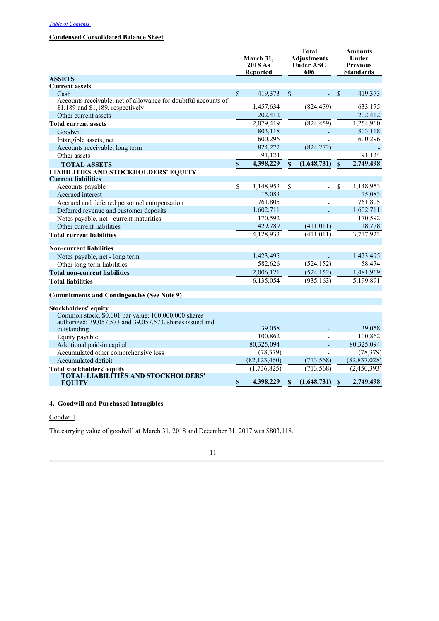## **Condensed Consolidated Balance Sheet**

|                                                                        |              | <b>Total</b><br><b>Adjustments</b><br>March 31,<br>2018 As<br><b>Under ASC</b><br>Reported<br>606 |                    |             | <b>Amounts</b><br>Under<br><b>Previous</b><br><b>Standards</b> |                |
|------------------------------------------------------------------------|--------------|---------------------------------------------------------------------------------------------------|--------------------|-------------|----------------------------------------------------------------|----------------|
| <b>ASSETS</b>                                                          |              |                                                                                                   |                    |             |                                                                |                |
| <b>Current assets</b>                                                  |              |                                                                                                   |                    |             |                                                                |                |
| Cash<br>Accounts receivable, net of allowance for doubtful accounts of | $\mathbb{S}$ | 419,373                                                                                           | $\mathbf S$        |             | $\mathcal{S}$                                                  | 419,373        |
| $$1,189$ and $$1,189$ , respectively                                   |              | 1,457,634                                                                                         |                    | (824, 459)  |                                                                | 633,175        |
| Other current assets                                                   |              | 202,412                                                                                           |                    |             |                                                                | 202,412        |
| <b>Total current assets</b>                                            |              | 2,079,419                                                                                         |                    | (824, 459)  |                                                                | 1,254,960      |
| Goodwill                                                               |              | 803,118                                                                                           |                    |             |                                                                | 803,118        |
| Intangible assets, net                                                 |              | 600,296                                                                                           |                    |             |                                                                | 600,296        |
| Accounts receivable, long term                                         |              | 824,272                                                                                           |                    | (824, 272)  |                                                                |                |
| Other assets                                                           |              | 91,124                                                                                            |                    |             |                                                                | 91,124         |
| <b>TOTAL ASSETS</b>                                                    | \$           | 4,398,229                                                                                         | $\mathbf{\hat{s}}$ | (1,648,731) | $\mathbf{\hat{s}}$                                             | 2,749,498      |
| <b>LIABILITIES AND STOCKHOLDERS' EQUITY</b>                            |              |                                                                                                   |                    |             |                                                                |                |
| <b>Current liabilities</b>                                             |              |                                                                                                   |                    |             |                                                                |                |
| Accounts payable                                                       | \$           | 1,148,953                                                                                         | \$                 |             | \$                                                             | 1,148,953      |
| Accrued interest                                                       |              | 15,083                                                                                            |                    |             |                                                                | 15,083         |
| Accrued and deferred personnel compensation                            |              | 761,805                                                                                           |                    |             |                                                                | 761,805        |
| Deferred revenue and customer deposits                                 |              | 1,602,711                                                                                         |                    | L,          |                                                                | 1,602,711      |
| Notes payable, net - current maturities                                |              | 170,592                                                                                           |                    |             |                                                                | 170,592        |
| Other current liabilities                                              |              | 429,789                                                                                           |                    | (411, 011)  |                                                                | 18,778         |
| <b>Total current liabilities</b>                                       |              | 4,128,933                                                                                         |                    | (411, 011)  |                                                                | 3,717,922      |
| <b>Non-current liabilities</b>                                         |              |                                                                                                   |                    |             |                                                                |                |
| Notes payable, net - long term                                         |              | 1,423,495                                                                                         |                    |             |                                                                | 1,423,495      |
| Other long term liabilities                                            |              | 582,626                                                                                           |                    | (524, 152)  |                                                                | 58,474         |
| <b>Total non-current liabilities</b>                                   |              | 2,006,121                                                                                         |                    | (524, 152)  |                                                                | 1,481,969      |
| <b>Total liabilities</b>                                               |              | 6,135,054                                                                                         |                    | (935, 163)  |                                                                | 5,199,891      |
|                                                                        |              |                                                                                                   |                    |             |                                                                |                |
| <b>Commitments and Contingencies (See Note 9)</b>                      |              |                                                                                                   |                    |             |                                                                |                |
| <b>Stockholders' equity</b>                                            |              |                                                                                                   |                    |             |                                                                |                |
| Common stock, \$0.001 par value; 100,000,000 shares                    |              |                                                                                                   |                    |             |                                                                |                |
| authorized; 39,057,573 and 39,057,573, shares issued and               |              |                                                                                                   |                    |             |                                                                |                |
| outstanding                                                            |              | 39,058                                                                                            |                    |             |                                                                | 39,058         |
| Equity payable                                                         |              | 100,862                                                                                           |                    |             |                                                                | 100,862        |
| Additional paid-in capital                                             |              | 80,325,094                                                                                        |                    |             |                                                                | 80,325,094     |
| Accumulated other comprehensive loss                                   |              | (78, 379)                                                                                         |                    |             |                                                                | (78, 379)      |
| Accumulated deficit                                                    |              | (82, 123, 460)                                                                                    |                    | (713, 568)  |                                                                | (82, 837, 028) |
| <b>Total stockholders' equity</b>                                      |              | (1,736,825)                                                                                       |                    | (713, 568)  |                                                                | (2,450,393)    |
| <b>TOTAL LIABILÍTIÉS AND STOCKHOLDERS'</b><br><b>EQUITY</b>            | \$           | 4,398,229                                                                                         | \$                 | (1,648,731) | $\mathbf{s}$                                                   | 2,749,498      |

## **4. Goodwill and Purchased Intangibles**

## **Goodwill**

The carrying value of goodwill at March 31, 2018 and December 31, 2017 was \$803,118.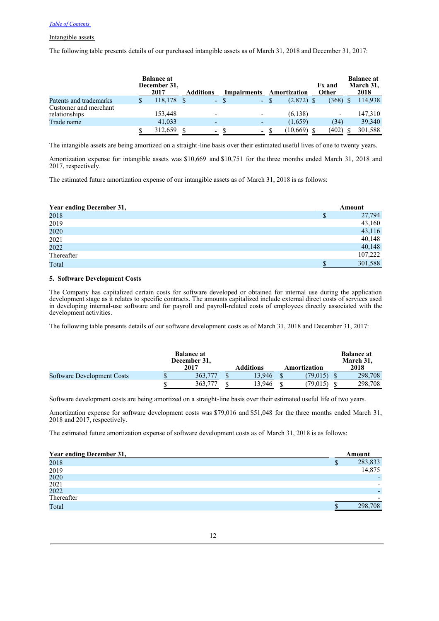## Intangible assets

The following table presents details of our purchased intangible assets as of March 31, 2018 and December 31, 2017:

|                                        | <b>Balance at</b><br>December 31,<br>2017 | <b>Additions</b>         | <b>Impairments</b> |      | Amortization | <b>Fx</b> and<br>Other   | <b>Balance at</b><br>March 31,<br>2018 |
|----------------------------------------|-------------------------------------------|--------------------------|--------------------|------|--------------|--------------------------|----------------------------------------|
| Patents and trademarks                 | 118,178                                   | Æ.                       |                    | - \$ | (2,872)      | (368)                    | 114,938                                |
| Customer and merchant<br>relationships | 153,448                                   | $\overline{\phantom{0}}$ |                    |      | (6, 138)     | $\overline{\phantom{0}}$ | 147,310                                |
| Trade name                             | 41.033                                    |                          |                    |      | (1,659)      | (34)                     | 39.340                                 |
|                                        | 312.659                                   | $\overline{\phantom{a}}$ | $\sim$             |      | (10,669)     | (402)                    | 301.588                                |

The intangible assets are being amortized on a straight-line basis over their estimated useful lives of one to twenty years.

Amortization expense for intangible assets was \$10,669 and \$10,751 for the three months ended March 31, 2018 and 2017, respectively.

The estimated future amortization expense of our intangible assets as of March 31, 2018 is as follows:

| Year ending December 31, | Amount      |
|--------------------------|-------------|
| 2018                     | 27,794<br>Ф |
| 2019                     | 43,160      |
| 2020                     | 43,116      |
| 2021                     | 40,148      |
| 2022                     | 40,148      |
| Thereafter               | 107,222     |
| Total                    | 301,588     |

#### **5. Software Development Costs**

The Company has capitalized certain costs for software developed or obtained for internal use during the application development stage as it relates to specific contracts. The amounts capitalized include external direct costs of services used in developing internal-use software and for payroll and payroll-related costs of employees directly associated with the development activities.

The following table presents details of our software development costs as of March 31, 2018 and December 31, 2017:

|                            | <b>Balance at</b><br>December 31,<br>2017 | <b>Additions</b> | Amortization | <b>Balance at</b><br>March 31,<br>2018 |
|----------------------------|-------------------------------------------|------------------|--------------|----------------------------------------|
| Software Development Costs | 363,777                                   | 13.946           | (79.015)     | 298,708                                |
|                            | 363,777                                   | 13.946           | 79.015       | 298.708                                |

Software development costs are being amortized on a straight-line basis over their estimated useful life of two years.

Amortization expense for software development costs was \$79,016 and \$51,048 for the three months ended March 31, 2018 and 2017, respectively.

The estimated future amortization expense of software development costs as of March 31, 2018 is as follows:

| Year ending December 31, |   | Amount  |
|--------------------------|---|---------|
| 2018                     | S | 283,833 |
| 2019                     |   | 14,875  |
| 2020                     |   |         |
| 2021                     |   |         |
| 2022                     |   |         |
| Thereafter               |   |         |
| Total                    |   | 298,708 |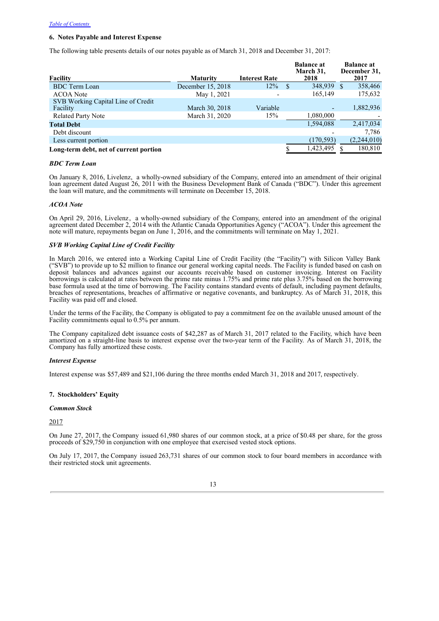## **6. Notes Payable and Interest Expense**

The following table presents details of our notes payable as of March 31, 2018 and December 31, 2017:

| Facility                                       | <b>Maturity</b>   | <b>Interest Rate</b>         |               | <b>Balance at</b><br>March 31,<br>2018 |      | <b>Balance at</b><br>December 31,<br>2017 |
|------------------------------------------------|-------------------|------------------------------|---------------|----------------------------------------|------|-------------------------------------------|
| <b>BDC</b> Term Loan                           | December 15, 2018 | $12\%$                       | <sup>\$</sup> | 348,939                                | - \$ | 358,466                                   |
| <b>ACOA</b> Note                               | May 1, 2021       | $\qquad \qquad \blacksquare$ |               | 165,149                                |      | 175,632                                   |
| SVB Working Capital Line of Credit<br>Facility | March 30, 2018    | Variable                     |               | ٠                                      |      | 1,882,936                                 |
| <b>Related Party Note</b>                      | March 31, 2020    | 15%                          |               | 1,080,000                              |      |                                           |
| <b>Total Debt</b>                              |                   |                              |               | 1,594,088                              |      | 2,417,034                                 |
| Debt discount                                  |                   |                              |               |                                        |      | 7.786                                     |
| Less current portion                           |                   |                              |               | (170, 593)                             |      | (2,244,010)                               |
| Long-term debt, net of current portion         |                   |                              |               | 1,423,495                              |      | 180,810                                   |

#### *BDC Term Loan*

On January 8, 2016, Livelenz, a wholly-owned subsidiary of the Company, entered into an amendment of their original loan agreement dated August 26, 2011 with the Business Development Bank of Canada ("BDC"). Under this agreement the loan will mature, and the commitments will terminate on December 15, 2018.

#### *ACOA Note*

On April 29, 2016, Livelenz, a wholly-owned subsidiary of the Company, entered into an amendment of the original agreement dated December 2, 2014 with the Atlantic Canada Opportunities Agency ("ACOA"). Under this agreement the note will mature, repayments began on June 1, 2016, and the commitments will terminate on May 1, 2021.

## *SVB Working Capital Line of Credit Facility*

In March 2016, we entered into a Working Capital Line of Credit Facility (the "Facility") with Silicon Valley Bank ("SVB") to provide up to \$2 million to finance our general working capital needs. The Facility is funded based on cash on deposit balances and advances against our accounts receivable based on customer invoicing. Interest on Facility borrowings is calculated at rates between the prime rate minus 1.75% and prime rate plus 3.75% based on the borrowing base formula used at the time of borrowing. The Facility contains standard events of default, including payment defaults, breaches of representations, breaches of affirmative or negative covenants, and bankruptcy. As of March 31, 2018, this Facility was paid off and closed.

Under the terms of the Facility, the Company is obligated to pay a commitment fee on the available unused amount of the Facility commitments equal to 0.5% per annum.

The Company capitalized debt issuance costs of \$42,287 as of March 31, 2017 related to the Facility, which have been amortized on a straight-line basis to interest expense over the two-year term of the Facility. As of March 31, 2018, the Company has fully amortized these costs.

#### *Interest Expense*

Interest expense was \$57,489 and \$21,106 during the three months ended March 31, 2018 and 2017, respectively.

#### **7. Stockholders' Equity**

#### *Common Stock*

2017

On June 27, 2017, the Company issued 61,980 shares of our common stock, at a price of \$0.48 per share, for the gross proceeds of \$29,750 in conjunction with one employee that exercised vested stock options.

On July 17, 2017, the Company issued 263,731 shares of our common stock to four board members in accordance with their restricted stock unit agreements.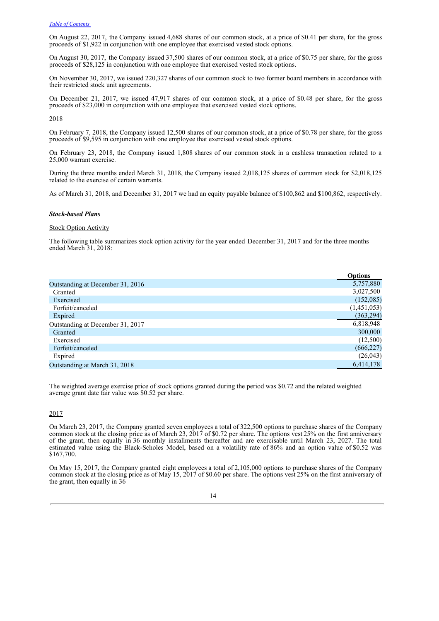On August 22, 2017, the Company issued 4,688 shares of our common stock, at a price of \$0.41 per share, for the gross proceeds of \$1,922 in conjunction with one employee that exercised vested stock options.

On August 30, 2017, the Company issued 37,500 shares of our common stock, at a price of \$0.75 per share, for the gross proceeds of \$28,125 in conjunction with one employee that exercised vested stock options.

On November 30, 2017, we issued 220,327 shares of our common stock to two former board members in accordance with their restricted stock unit agreements.

On December 21, 2017, we issued 47,917 shares of our common stock, at a price of \$0.48 per share, for the gross proceeds of \$23,000 in conjunction with one employee that exercised vested stock options.

#### 2018

On February 7, 2018, the Company issued 12,500 shares of our common stock, at a price of \$0.78 per share, for the gross proceeds of \$9,595 in conjunction with one employee that exercised vested stock options.

On February 23, 2018, the Company issued 1,808 shares of our common stock in a cashless transaction related to a 25,000 warrant exercise.

During the three months ended March 31, 2018, the Company issued 2,018,125 shares of common stock for \$2,018,125 related to the exercise of certain warrants.

As of March 31, 2018, and December 31, 2017 we had an equity payable balance of \$100,862 and \$100,862, respectively.

#### *Stock-based Plans*

#### Stock Option Activity

The following table summarizes stock option activity for the year ended December 31, 2017 and for the three months ended March 31, 2018:

|                                  | <b>Options</b> |
|----------------------------------|----------------|
| Outstanding at December 31, 2016 | 5,757,880      |
| Granted                          | 3,027,500      |
| Exercised                        | (152,085)      |
| Forfeit/canceled                 | (1,451,053)    |
| Expired                          | (363, 294)     |
| Outstanding at December 31, 2017 | 6,818,948      |
| Granted                          | 300,000        |
| Exercised                        | (12,500)       |
| Forfeit/canceled                 | (666, 227)     |
| Expired                          | (26, 043)      |
| Outstanding at March 31, 2018    | 6,414,178      |
|                                  |                |

The weighted average exercise price of stock options granted during the period was \$0.72 and the related weighted average grant date fair value was \$0.52 per share.

#### 2017

On March 23, 2017, the Company granted seven employees a total of 322,500 options to purchase shares of the Company common stock at the closing price as of March 23, 2017 of \$0.72 per share. The options vest25% on the first anniversary of the grant, then equally in 36 monthly installments thereafter and are exercisable until March 23, 2027. The total estimated value using the Black-Scholes Model, based on a volatility rate of 86% and an option value of \$0.52 was \$167,700.

On May 15, 2017, the Company granted eight employees a total of 2,105,000 options to purchase shares of the Company common stock at the closing price as of May 15, 2017 of \$0.60 per share. The options vest25% on the first anniversary of the grant, then equally in 36

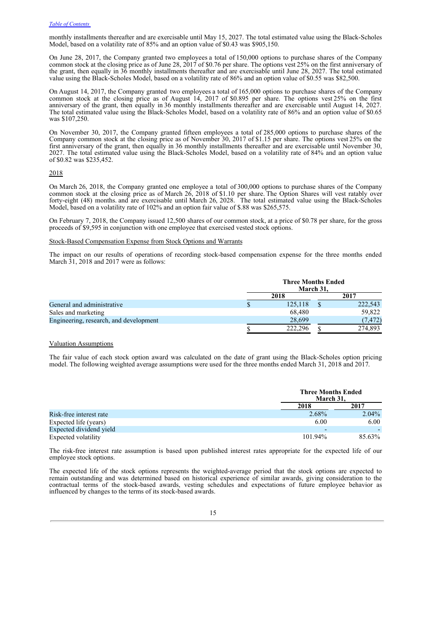monthly installments thereafter and are exercisable until May 15, 2027. The total estimated value using the Black-Scholes Model, based on a volatility rate of 85% and an option value of \$0.43 was \$905,150.

On June 28, 2017, the Company granted two employees a total of 150,000 options to purchase shares of the Company common stock at the closing price as of June 28, 2017 of \$0.76 per share. The options vest25% on the first anniversary of the grant, then equally in 36 monthly installments thereafter and are exercisable until June 28, 2027. The total estimated value using the Black-Scholes Model, based on a volatility rate of 86% and an option value of \$0.55 was \$82,500.

On August 14, 2017, the Company granted two employees a total of 165,000 options to purchase shares of the Company common stock at the closing price as of August 14, 2017 of \$0.895 per share. The options vest25% on the first anniversary of the grant, then equally in 36 monthly installments thereafter and are exercisable until August 14, 2027. The total estimated value using the Black-Scholes Model, based on a volatility rate of 86% and an option value of \$0.65 was \$107,250.

On November 30, 2017, the Company granted fifteen employees a total of 285,000 options to purchase shares of the Company common stock at the closing price as of November 30, 2017 of \$1.15 per share. The options vest25% on the first anniversary of the grant, then equally in 36 monthly installments thereafter and are exercisable until November 30, 2027. The total estimated value using the Black-Scholes Model, based on a volatility rate of 84% and an option value of \$0.82 was \$235,452.

#### 2018

On March 26, 2018, the Company granted one employee a total of 300,000 options to purchase shares of the Company common stock at the closing price as of March 26, 2018 of \$1.10 per share. The Option Shares will vest ratably over forty-eight (48) months. and are exercisable until March 26, 2028. The total estimated value using the Black-Scholes Model, based on a volatility rate of 102% and an option fair value of \$.88 was \$265,575.

On February 7, 2018, the Company issued 12,500 shares of our common stock, at a price of \$0.78 per share, for the gross proceeds of \$9,595 in conjunction with one employee that exercised vested stock options.

#### Stock-Based Compensation Expense from Stock Options and Warrants

The impact on our results of operations of recording stock-based compensation expense for the three months ended March  $31$ , 2018 and 2017 were as follows:

|                                        | <b>Three Months Ended</b> | March 31, |          |
|----------------------------------------|---------------------------|-----------|----------|
|                                        | 2018                      |           | 2017     |
| General and administrative             | 125,118                   |           | 222,543  |
| Sales and marketing                    | 68,480                    |           | 59,822   |
| Engineering, research, and development | 28,699                    |           | (7, 472) |
|                                        | 222,296                   |           | 274.893  |

#### Valuation Assumptions

The fair value of each stock option award was calculated on the date of grant using the Black-Scholes option pricing model. The following weighted average assumptions were used for the three months ended March 31, 2018 and 2017.

|                         | <b>Three Months Ended</b><br>March 31. |          |
|-------------------------|----------------------------------------|----------|
|                         | 2018                                   | 2017     |
| Risk-free interest rate | 2.68%                                  | $2.04\%$ |
| Expected life (years)   | 6.00                                   | 6.00     |
| Expected dividend yield |                                        |          |
| Expected volatility     | 101.94%                                | 85.63%   |

The risk-free interest rate assumption is based upon published interest rates appropriate for the expected life of our employee stock options.

The expected life of the stock options represents the weighted-average period that the stock options are expected to remain outstanding and was determined based on historical experience of similar awards, giving consideration to the contractual terms of the stock-based awards, vesting schedules and expectations of future employee behavior as influenced by changes to the terms of its stock-based awards.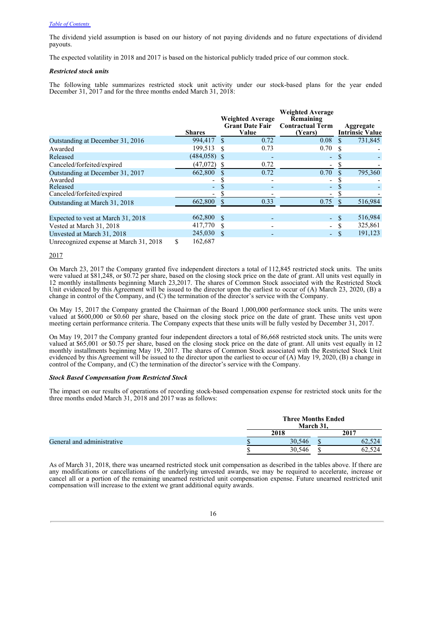The dividend yield assumption is based on our history of not paying dividends and no future expectations of dividend payouts.

The expected volatility in 2018 and 2017 is based on the historical publicly traded price of our common stock.

#### *Restricted stock units*

The following table summarizes restricted stock unit activity under our stock-based plans for the year ended December 31, 2017 and for the three months ended March 31, 2018:

|                                        | <b>Shares</b>   |                    | <b>Weighted Average</b><br><b>Grant Date Fair</b><br>Value | <b>Weighted Average</b><br>Remaining<br><b>Contractual Term</b><br>(Years) |      | Aggregate<br><b>Intrinsic Value</b> |
|----------------------------------------|-----------------|--------------------|------------------------------------------------------------|----------------------------------------------------------------------------|------|-------------------------------------|
| Outstanding at December 31, 2016       | 994,417         | $\mathbf{\hat{S}}$ | 0.72                                                       | 0.08                                                                       | \$.  | 731,845                             |
| Awarded                                | 199,513         | S                  | 0.73                                                       | 0.70                                                                       | -S   |                                     |
| Released                               | $(484, 058)$ \$ |                    |                                                            | ٠                                                                          |      |                                     |
| Canceled/forfeited/expired             | (47,072)        | S                  | 0.72                                                       | -                                                                          | S    |                                     |
| Outstanding at December 31, 2017       | 662,800         |                    | 0.72                                                       | 0.70                                                                       |      | 795,360                             |
| Awarded                                |                 |                    |                                                            |                                                                            |      |                                     |
| Released                               |                 |                    |                                                            |                                                                            |      |                                     |
| Canceled/forfeited/expired             |                 |                    |                                                            |                                                                            |      |                                     |
| Outstanding at March 31, 2018          | 662,800         |                    | 0.33                                                       | 0.75                                                                       |      | 516,984                             |
| Expected to vest at March 31, 2018     | 662,800         | $\mathcal{S}$      |                                                            |                                                                            | - \$ | 516,984                             |
| Vested at March 31, 2018               | 417,770         | \$                 |                                                            | $\overline{\phantom{0}}$                                                   | S    | 325,861                             |
| Unvested at March 31, 2018             | 245,030         | - \$               |                                                            | $\blacksquare$                                                             |      | 191,123                             |
| Unrecognized expense at March 31, 2018 | \$<br>162.687   |                    |                                                            |                                                                            |      |                                     |

<sup>2017</sup>

On March 23, 2017 the Company granted five independent directors a total of 112,845 restricted stock units. The units were valued at \$81,248, or \$0.72 per share, based on the closing stock price on the date of grant. All units vest equally in 12 monthly installments beginning March 23,2017. The shares of Common Stock associated with the Restricted Stock Unit evidenced by this Agreement will be issued to the director upon the earliest to occur of (A) March 23, 2020, (B) a change in control of the Company, and (C) the termination of the director's service with the Company.

On May 15, 2017 the Company granted the Chairman of the Board 1,000,000 performance stock units. The units were valued at \$600,000 or \$0.60 per share, based on the closing stock price on the date of grant. These units vest upon meeting certain performance criteria. The Company expects that these units will be fully vested by December 31, 2017.

On May 19, 2017 the Company granted four independent directors a total of 86,668 restricted stock units. The units were valued at \$65,001 or \$0.75 per share, based on the closing stock price on the date of grant. All units vest equally in 12 monthly installments beginning May 19, 2017. The shares of Common Stock associated with the Restricted Stock Unit evidenced by this Agreement will be issued to the director upon the earliest to occur of (A) May 19, 2020, (B) a change in control of the Company, and (C) the termination of the director's service with the Company.

#### *Stock Based Compensation from Restricted Stock*

The impact on our results of operations of recording stock-based compensation expense for restricted stock units for the three months ended March 31, 2018 and 2017 was as follows:

|                            | <b>Three Months Ended</b><br>March 31, |      |
|----------------------------|----------------------------------------|------|
|                            | 2018                                   | 2017 |
| General and administrative | 30.546                                 | 524  |
|                            | 30.546                                 | 524  |

As of March 31, 2018, there was unearned restricted stock unit compensation as described in the tables above. If there are any modifications or cancellations of the underlying unvested awards, we may be required to accelerate, increase or cancel all or a portion of the remaining unearned restricted unit compensation expense. Future unearned restricted unit compensation will increase to the extent we grant additional equity awards.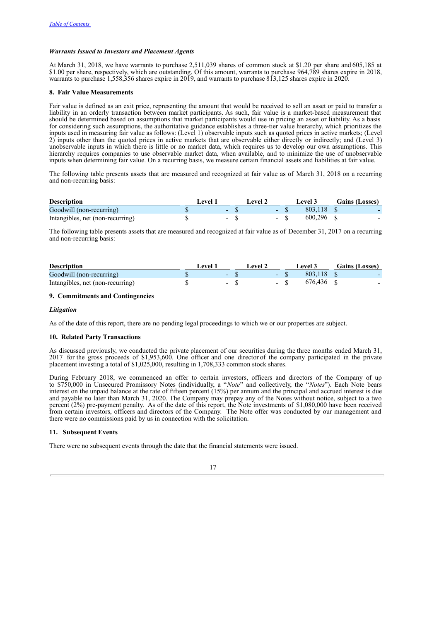#### *Warrants Issued to Investors and Placement Agents*

At March 31, 2018, we have warrants to purchase 2,511,039 shares of common stock at \$1.20 per share and 605,185 at \$1.00 per share, respectively, which are outstanding. Of this amount, warrants to purchase 964,789 shares expire in 2018, warrants to purchase 1,558,356 shares expire in 2019, and warrants to purchase 813,125 shares expire in 2020.

#### **8. Fair Value Measurements**

Fair value is defined as an exit price, representing the amount that would be received to sell an asset or paid to transfer a liability in an orderly transaction between market participants. As such, fair value is a market-based measurement that should be determined based on assumptions that market participants would use in pricing an asset or liability. As a basis for considering such assumptions, the authoritative guidance establishes a three-tier value hierarchy, which prioritizes the inputs used in measuring fair value as follows: (Level 1) observable inputs such as quoted prices in active markets; (Level 2) inputs other than the quoted prices in active markets that are observable either directly or indirectly; and (Level 3) unobservable inputs in which there is little or no market data, which requires us to develop our own assumptions. This hierarchy requires companies to use observable market data, when available, and to minimize the use of unobservable inputs when determining fair value. On a recurring basis, we measure certain financial assets and liabilities at fair value.

The following table presents assets that are measured and recognized at fair value as of March 31, 2018 on a recurring and non-recurring basis:

| <b>Description</b>               | Level 1 |  | ' .evel 2 |  | Level 3 |            | <b>Gains</b> (Losses) |  |
|----------------------------------|---------|--|-----------|--|---------|------------|-----------------------|--|
| Goodwill (non-recurring)         |         |  |           |  |         | 803.118 \$ |                       |  |
| Intangibles, net (non-recurring) |         |  |           |  |         | 600.296 \$ |                       |  |

The following table presents assets that are measured and recognized at fair value as of December 31, 2017 on a recurring and non-recurring basis:

| <b>Description</b>               | evel 1. |  | evel 2. |  | Level 3 |            | <b>Gains</b> (Losses) |  |
|----------------------------------|---------|--|---------|--|---------|------------|-----------------------|--|
| Goodwill (non-recurring)         |         |  |         |  |         | 803.118 \$ |                       |  |
| Intangibles, net (non-recurring) |         |  |         |  |         | 676.436    |                       |  |

#### **9. Commitments and Contingencies**

#### *Litigation*

As of the date of this report, there are no pending legal proceedings to which we or our properties are subject.

#### **10. Related Party Transactions**

As discussed previously, we conducted the private placement of our securities during the three months ended March 31, 2017 for the gross proceeds of \$1,953,600. One officer and one directorof the company participated in the private placement investing a total of \$1,025,000, resulting in 1,708,333 common stock shares.

During February 2018, we commenced an offer to certain investors, officers and directors of the Company of up to \$750,000 in Unsecured Promissory Notes (individually, a "*Note*" and collectively, the "*Notes*"). Each Note bears interest on the unpaid balance at the rate of fifteen percent (15%) per annum and the principal and accrued interest is due and payable no later than March 31, 2020. The Company may prepay any of the Notes without notice, subject to a two percent (2%) pre-payment penalty. As of the date of this report, the Note investments of \$1,080,000 have been received from certain investors, officers and directors of the Company. The Note offer was conducted by our management and there were no commissions paid by us in connection with the solicitation.

### **11. Subsequent Events**

There were no subsequent events through the date that the financial statements were issued.

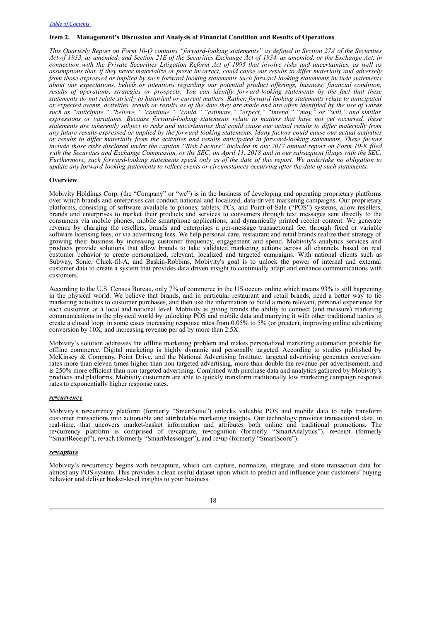#### **Item 2. Management's Discussion and Analysis of Financial Condition and Results of Operations**

This Quarterly Report on Form 10-Q contains "forward-looking statements" as defined in Section 27A of the Securities Act of 1933, as amended, and Section 21E of the Securities Exchange Act of 1934, as amended, or the Exchange Act, in connection with the Private Securities Litigation Reform Act of 1995 that involve risks and uncertainties, as well as assumptions that, if they never materialize or prove incorrect, could cause our results to differ materially and adversely *from those expressed or implied by such forward-looking statements Such forward-looking statements include statements about our expectations, beliefs or intentions regarding our potential product of erings, business, financial condition,* results of operations, strategies or prospects. You can identify forward-looking statements by the fact that these statements do not relate strictly to historical or current matters. Rather, forward-looking statements relate to anticipated or expected events, activities, trends or results as of the date they are made and are often identified by the use of words *such as "anticipate," "believe," "continue," "could," "estimate," "expect," "intend," "may," or "will," and similar expressions or variations. Because forward-looking statements relate to matters that have not yet occurred, these* statements are inherently subject to risks and uncertainties that could cause our actual results to differ materially from any future results expressed or implied by the forward-looking statements. Many factors could cause our actual activities or results to differ materially from the activities and results anticipated in forward-looking statements. These factors include those risks disclosed under the caption "Risk Factors" included in our 2017 annual report on Form 10-K filed with the Securities and Exchange Commission, or the SEC, on April 11, 2018 and in our subsequent filings with the SEC. Furthermore, such forward-looking statements speak only as of the date of this report. We undertake no obligation to update any forward-looking statements to reflect events or circumstances occurring after the date of such statements.

#### **Overview**

Mobivity Holdings Corp. (the "Company" or "we") is in the business of developing and operating proprietary platforms over which brands and enterprises can conduct national and localized, data-driven marketing campaigns. Our proprietary platforms, consisting of software available to phones, tablets, PCs, and Point-of-Sale ("POS") systems, allow resellers, brands and enterprises to market their products and services to consumers through text messages sent directly to the consumers via mobile phones, mobile smartphone applications, and dynamically printed receipt content. We generate revenue by charging the resellers, brands and enterprises a per-message transactional fee, through fixed or variable software licensing fees, or via advertising fees. We help personal care, restaurant and retail brands realize their strategy of growing their business by increasing customer frequency, engagement and spend. Mobivity's analytics services and products provide solutions that allow brands to take validated marketing actions across all channels, based on real customer behavior to create personalized, relevant, localized and targeted campaigns. With national clients such as Subway, Sonic, Chick-fil-A, and Baskin-Robbins, Mobivity's goal is to unlock the power of internal and external customer data to create a system that provides data driven insight to continually adapt and enhance communications with customers.

According to the U.S. Census Bureau, only 7% of commerce in the US occurs online which means 93% is still happening in the physical world. We believe that brands, and in particular restaurant and retail brands, need a better way to tie marketing activities to customer purchases, and then use the information to build a more relevant, personal experience for each customer, at a local and national level. Mobivity is giving brands the ability to connect (and measure) marketing communications in the physical world by unlocking POS and mobile data and marrying it with other traditional tactics to create a closed loop: in some cases increasing response rates from 0.05% to 5% (or greater); improving online advertising conversion by  $10\overline{X}$ ; and increasing revenue per ad by more than 2.5X.

Mobivity's solution addresses the offline marketing problem and makes personalized marketing automation possible for offline commerce. Digital marketing is highly dynamic and personally targeted. According to studies published by McKinsey & Company, Point Drive, and the National Advertising Institute, targeted advertising generates conversion rates more than eleven times higher than non-targeted advertising, more than double the revenue per advertisement, and is 250% more efficient than non-targeted advertising. Combined with purchase data and analytics gathered by Mobivity's products and platforms, Mobivity customers are able to quickly transform traditionally low marketing campaign response rates to exponentially higher response rates.

#### *re•currency*

Mobivity's re•currency platform (formerly "SmartSuite") unlocks valuable POS and mobile data to help transform customer transactions into actionable and attributable marketing insights. Our technology provides transactional data, in real-time, that uncovers market-basket information and attributes both online and traditional promotions. The re•currency platform is comprised of re•capture, re•cognition (formerly "SmartAnalytics"), re•ceipt (formerly "SmartReceipt"), re•ach (formerly "SmartMessenger"), and re•up (formerly "SmartScore").

#### *re•capture*

Mobivity's re•currency begins with re•capture, which can capture, normalize, integrate, and store transaction data for almost any POS system. This provides a clean useful dataset upon which to predict and influence your customers' buying behavior and deliver basket-level insights to your business.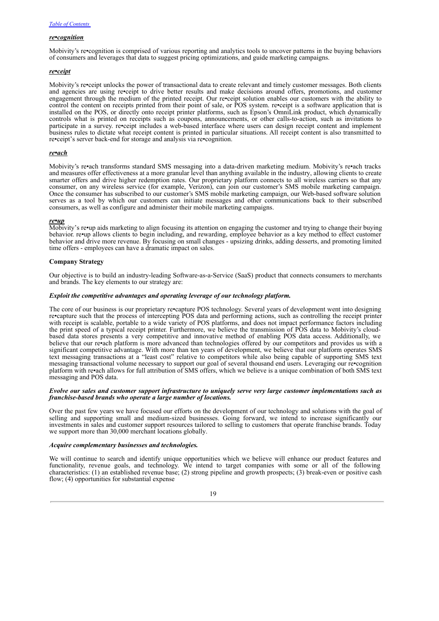#### *re•cognition*

Mobivity's re•cognition is comprised of various reporting and analytics tools to uncover patterns in the buying behaviors of consumers and leverages that data to suggest pricing optimizations, and guide marketing campaigns.

#### *re•ceipt*

Mobivity's re•ceipt unlocks the power of transactional data to create relevant and timely customer messages. Both clients and agencies are using re•ceipt to drive better results and make decisions around offers, promotions, and customer engagement through the medium of the printed receipt. Our re•ceipt solution enables our customers with the ability to control the content on receipts printed from their point of sale, or POS system. re•ceipt is a software application that is installed on the POS, or directly onto receipt printer platforms, such as Epson's OmniLink product, which dynamically controls what is printed on receipts such as coupons, announcements, or other calls-to-action, such as invitations to participate in a survey. re•ceipt includes a web-based interface where users can design receipt content and implement business rules to dictate what receipt content is printed in particular situations. All receipt content is also transmitted to re•ceipt's server back-end for storage and analysis via re•cognition.

#### *re•ach*

Mobivity's re•ach transforms standard SMS messaging into a data-driven marketing medium. Mobivity's re•ach tracks and measures offer effectiveness at a more granular level than anything available in the industry, allowing clients to create smarter offers and drive higher redemption rates. Our proprietary platform connects to all wireless carriers so that any consumer, on any wireless service (for example, Verizon), can join our customer's SMS mobile marketing campaign. Once the consumer has subscribed to our customer's SMS mobile marketing campaign, our Web-based software solution serves as a tool by which our customers can initiate messages and other communications back to their subscribed consumers, as well as configure and administer their mobile marketing campaigns.

#### *re•up*

Mobivity's re•up aids marketing to align focusing its attention on engaging the customer and trying to change their buying behavior. re•up allows clients to begin including, and rewarding, employee behavior as a key method to effect customer behavior and drive more revenue. By focusing on small changes - upsizing drinks, adding desserts, and promoting limited time offers - employees can have a dramatic impact on sales.

#### **Company Strategy**

Our objective is to build an industry-leading Software-as-a-Service (SaaS) product that connects consumers to merchants and brands. The key elements to our strategy are:

#### *Exploit the competitive advantages and operating leverage of our technology platform.*

The core of our business is our proprietary re•capture POS technology. Several years of development went into designing re•capture such that the process of intercepting POS data and performing actions, such as controlling the receipt printer with receipt is scalable, portable to a wide variety of POS platforms, and does not impact performance factors including the print speed of a typical receipt printer. Furthermore, we believe the transmission of POS data to Mobivity's cloudbased data stores presents a very competitive and innovative method of enabling POS data access. Additionally, we believe that our re•ach platform is more advanced than technologies offered by our competitors and provides us with a significant competitive advantage. With more than ten years of development, we believe that our platform operates SMS text messaging transactions at a "least cost" relative to competitors while also being capable of supporting SMS text messaging transactional volume necessary to support our goal of several thousand end users. Leveraging our re•cognition platform with re•ach allows for full attribution of SMS offers, which we believe is a unique combination of both SMS text messaging and POS data.

#### Evolve our sales and customer support infrastructure to uniquely serve very large customer implementations such as *franchise-based brands who operate a large number of locations.*

Over the past few years we have focused our efforts on the development of our technology and solutions with the goal of selling and supporting small and medium-sized businesses. Going forward, we intend to increase significantly our investments in sales and customer support resources tailored to selling to customers that operate franchise brands. Today we support more than 30,000 merchant locations globally.

#### *Acquire complementary businesses and technologies.*

We will continue to search and identify unique opportunities which we believe will enhance our product features and functionality, revenue goals, and technology. We intend to target companies with some or all of the following characteristics: (1) an established revenue base; (2) strong pipeline and growth prospects; (3) break-even or positive cash flow; (4) opportunities for substantial expense

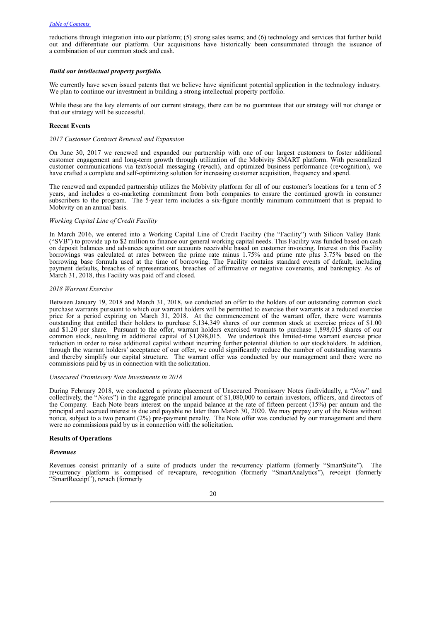reductions through integration into our platform; (5) strong sales teams; and (6) technology and services that further build out and differentiate our platform. Our acquisitions have historically been consummated through the issuance of a combination of our common stock and cash.

#### *Build our intellectual property portfolio***.**

We currently have seven issued patents that we believe have significant potential application in the technology industry. We plan to continue our investment in building a strong intellectual property portfolio.

While these are the key elements of our current strategy, there can be no guarantees that our strategy will not change or that our strategy will be successful.

#### **Recent Events**

#### *2017 Customer Contract Renewal and Expansion*

On June 30, 2017 we renewed and expanded our partnership with one of our largest customers to foster additional customer engagement and long-term growth through utilization of the Mobivity SMART platform. With personalized customer communications via text/social messaging (re•ach), and optimized business performance (re•cognition), we have crafted a complete and self-optimizing solution for increasing customer acquisition, frequency and spend.

The renewed and expanded partnership utilizes the Mobivity platform for all of our customer's locations for a term of 5 years, and includes a co-marketing commitment from both companies to ensure the continued growth in consumer subscribers to the program. The 5-year term includes a six-figure monthly minimum commitment that is prepaid to Mobivity on an annual basis.

#### *Working Capital Line of Credit Facility*

In March 2016, we entered into a Working Capital Line of Credit Facility (the "Facility") with Silicon Valley Bank ("SVB") to provide up to \$2 million to finance our general working capital needs. This Facility was funded based on cash on deposit balances and advances against our accounts receivable based on customer invoicing. Interest on this Facility borrowings was calculated at rates between the prime rate minus 1.75% and prime rate plus 3.75% based on the borrowing base formula used at the time of borrowing. The Facility contains standard events of default, including payment defaults, breaches of representations, breaches of affirmative or negative covenants, and bankruptcy. As of March 31, 2018, this Facility was paid off and closed.

#### *2018 Warrant Exercise*

Between January 19, 2018 and March 31, 2018, we conducted an offer to the holders of our outstanding common stock purchase warrants pursuant to which our warrant holders will be permitted to exercise their warrants at a reduced exercise price for a period expiring on March 31, 2018. At the commencement of the warrant offer, there were warrants outstanding that entitled their holders to purchase 5,134,349 shares of our common stock at exercise prices of \$1.00 and \$1.20 per share. Pursuant to the offer, warrant holders exercised warrants to purchase 1,898,015 shares of our common stock, resulting in additional capital of \$1,898,015. We undertook this limited-time warrant exercise price reduction in order to raise additional capital without incurring further potential dilution to our stockholders. In addition, through the warrant holders' acceptance of our offer, we could significantly reduce the number of outstanding warrants and thereby simplify our capital structure. The warrant offer was conducted by our management and there were no commissions paid by us in connection with the solicitation.

#### *Unsecured Promissory Note Investments in 2018*

During February 2018, we conducted a private placement of Unsecured Promissory Notes (individually, a "*Note*" and collectively, the "*Notes*") in the aggregate principal amount of \$1,080,000 to certain investors, officers, and directors of the Company. Each Note bears interest on the unpaid balance at the rate of fifteen percent (15%) per annum and the principal and accrued interest is due and payable no later than March 30, 2020. We may prepay any of the Notes without notice, subject to a two percent (2%) pre-payment penalty. The Note offer was conducted by our management and there were no commissions paid by us in connection with the solicitation.

#### **Results of Operations**

#### *Revenues*

Revenues consist primarily of a suite of products under the re•currency platform (formerly "SmartSuite"). The re•currency platform is comprised of re•capture, re•cognition (formerly "SmartAnalytics"), re•ceipt (formerly "SmartReceipt"), re•ach (formerly

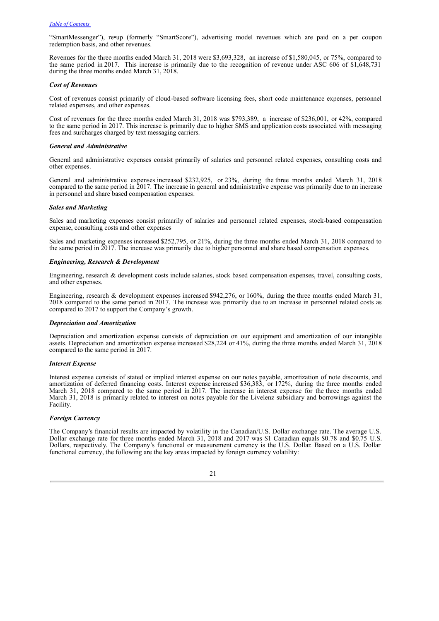"SmartMessenger"), re•up (formerly "SmartScore"), advertising model revenues which are paid on a per coupon redemption basis, and other revenues.

Revenues for the three months ended March 31, 2018 were \$3,693,328, an increase of \$1,580,045, or 75%, compared to the same period in 2017. This increase is primarily due to the recognition of revenue under ASC 606 of \$1,648,731 during the three months ended March 31, 2018.

#### *Cost of Revenues*

Cost of revenues consist primarily of cloud-based software licensing fees, short code maintenance expenses, personnel related expenses, and other expenses.

Cost of revenues for the three months ended March 31, 2018 was \$793,389, a increase of \$236,001, or 42%, compared to the same period in 2017. This increase is primarily due to higher SMS and application costs associated with messaging fees and surcharges charged by text messaging carriers.

#### *General and Administrative*

General and administrative expenses consist primarily of salaries and personnel related expenses, consulting costs and other expenses.

General and administrative expenses increased \$232,925, or 23%, during the three months ended March 31, 2018 compared to the same period in 2017. The increase in general and administrative expense was primarily due to an increase in personnel and share based compensation expenses.

#### *Sales and Marketing*

Sales and marketing expenses consist primarily of salaries and personnel related expenses, stock-based compensation expense, consulting costs and other expenses

Sales and marketing expenses increased \$252,795, or 21%, during the three months ended March 31, 2018 compared to the same period in 2017. The increase was primarily due to higher personnel and share based compensation expenses.

#### *Engineering, Research & Development*

Engineering, research & development costs include salaries, stock based compensation expenses, travel, consulting costs, and other expenses.

Engineering, research & development expenses increased \$942,276, or 160%, during the three months ended March 31, 2018 compared to the same period in 2017. The increase was primarily due to an increase in personnel related costs as compared to 2017 to support the Company's growth.

#### *Depreciation and Amortization*

Depreciation and amortization expense consists of depreciation on our equipment and amortization of our intangible assets. Depreciation and amortization expense increased \$28,224 or 41%, during the three months ended March 31, 2018 compared to the same period in 2017.

#### *Interest Expense*

Interest expense consists of stated or implied interest expense on our notes payable, amortization of note discounts, and amortization of deferred financing costs. Interest expense increased \$36,383, or 172%, during the three months ended March 31, 2018 compared to the same period in 2017. The increase in interest expense for the three months ended March 31, 2018 is primarily related to interest on notes payable for the Livelenz subsidiary and borrowings against the Facility.

#### *Foreign Currency*

The Company's financial results are impacted by volatility in the Canadian/U.S. Dollar exchange rate. The average U.S. Dollar exchange rate for three months ended March 31, 2018 and 2017 was \$1 Canadian equals \$0.78 and \$0.75 U.S. Dollars, respectively. The Company's functional or measurement currency is the U.S. Dollar. Based on a U.S. Dollar functional currency, the following are the key areas impacted by foreign currency volatility: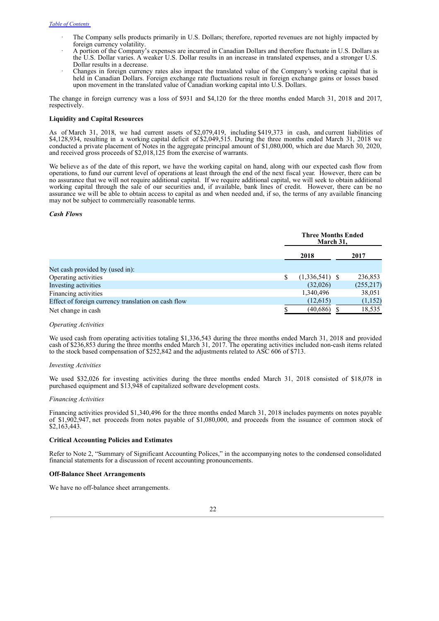- The Company sells products primarily in U.S. Dollars; therefore, reported revenues are not highly impacted by foreign currency volatility.
- · A portion of the Company's expenses are incurred in Canadian Dollars and therefore fluctuate in U.S. Dollars as the U.S. Dollar varies. A weaker U.S. Dollar results in an increase in translated expenses, and a stronger U.S. Dollar results in a decrease.
- · Changes in foreign currency rates also impact the translated value of the Company's working capital that is held in Canadian Dollars. Foreign exchange rate fluctuations result in foreign exchange gains or losses based upon movement in the translated value of Canadian working capital into U.S. Dollars.

The change in foreign currency was a loss of \$931 and \$4,120 for the three months ended March 31, 2018 and 2017, respectively.

#### **Liquidity and Capital Resources**

As of March 31, 2018, we had current assets of \$2,079,419, including \$419,373 in cash, andcurrent liabilities of \$4,128,934, resulting in a working capital deficit of \$2,049,515. During the three months ended March 31, 2018 we conducted a private placement of Notes in the aggregate principal amount of \$1,080,000, which are due March 30, 2020, and received gross proceeds of \$2,018,125 from the exercise of warrants.

We believe as of the date of this report, we have the working capital on hand, along with our expected cash flow from operations, to fund our current level of operations at least through the end of the next fiscal year. However, there can be no assurance that we will not require additional capital. If we require additional capital, we will seek to obtain additional working capital through the sale of our securities and, if available, bank lines of credit. However, there can be no assurance we will be able to obtain access to capital as and when needed and, if so, the terms of any available financing may not be subject to commercially reasonable terms.

#### *Cash Flows*

|                                                     | <b>Three Months Ended</b><br>March 31, |            |
|-----------------------------------------------------|----------------------------------------|------------|
|                                                     | 2018                                   | 2017       |
| Net cash provided by (used in):                     |                                        |            |
| Operating activities                                | $(1,336,541)$ \$                       | 236,853    |
| Investing activities                                | (32,026)                               | (255, 217) |
| Financing activities                                | 1,340,496                              | 38,051     |
| Effect of foreign currency translation on cash flow | (12,615)                               | (1,152)    |
| Net change in cash                                  | (40,686)                               | 18,535     |

#### *Operating Activities*

We used cash from operating activities totaling \$1,336,543 during the three months ended March 31, 2018 and provided cash of \$236,853 during the three months ended March 31, 2017. The operating activities included non-cash items related to the stock based compensation of \$252,842 and the adjustments related to ASC 606 of \$713.

#### *Investing Activities*

We used \$32,026 for investing activities during the three months ended March 31, 2018 consisted of \$18,078 in purchased equipment and \$13,948 of capitalized software development costs.

#### *Financing Activities*

Financing activities provided \$1,340,496 for the three months ended March 31, 2018 includes payments on notes payable of \$1,902,947, net proceeds from notes payable of \$1,080,000, and proceeds from the issuance of common stock of \$2,163,443.

#### **Critical Accounting Policies and Estimates**

Refer to Note 2, "Summary of Significant Accounting Polices," in the accompanying notes to the condensed consolidated financial statements for a discussion of recent accounting pronouncements.

#### **Off-Balance Sheet Arrangements**

We have no off-balance sheet arrangements.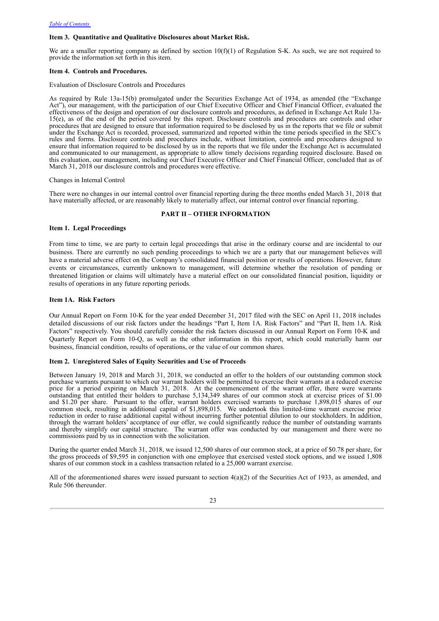#### **Item 3. Quantitative and Qualitative Disclosures about Market Risk.**

We are a smaller reporting company as defined by section  $10(f)(1)$  of Regulation S-K. As such, we are not required to provide the information set forth in this item.

#### **Item 4. Controls and Procedures.**

#### Evaluation of Disclosure Controls and Procedures

As required by Rule 13a-15(b) promulgated under the Securities Exchange Act of 1934, as amended (the "Exchange Act"), our management, with the participation of our Chief Executive Officer and Chief Financial Officer, evaluated the effectiveness of the design and operation of our disclosure controls and procedures, as defined in Exchange Act Rule 13a-15(e), as of the end of the period covered by this report. Disclosure controls and procedures are controls and other procedures that are designed to ensure that information required to be disclosed by us in the reports that we file or submit under the Exchange Act is recorded, processed, summarized and reported within the time periods specified in the SEC's rules and forms. Disclosure controls and procedures include, without limitation, controls and procedures designed to ensure that information required to be disclosed by us in the reports that we file under the Exchange Act is accumulated and communicated to our management, as appropriate to allow timely decisions regarding required disclosure. Based on this evaluation, our management, including our Chief Executive Officer and Chief Financial Officer, concluded that as of March 31, 2018 our disclosure controls and procedures were effective.

#### Changes in Internal Control

There were no changes in our internal control over financial reporting during the three months ended March 31, 2018 that have materially affected, or are reasonably likely to materially affect, our internal control over financial reporting.

## **PART II – OTHER INFORMATION**

#### **Item 1. Legal Proceedings**

From time to time, we are party to certain legal proceedings that arise in the ordinary course and are incidental to our business. There are currently no such pending proceedings to which we are a party that our management believes will have a material adverse effect on the Company's consolidated financial position or results of operations. However, future events or circumstances, currently unknown to management, will determine whether the resolution of pending or threatened litigation or claims will ultimately have a material effect on our consolidated financial position, liquidity or results of operations in any future reporting periods.

#### **Item 1A. Risk Factors**

Our Annual Report on Form 10-K for the year ended December 31, 2017 filed with the SEC on April 11, 2018 includes detailed discussions of our risk factors under the headings "Part I, Item 1A. Risk Factors" and "Part II, Item 1A. Risk Factors" respectively. You should carefully consider the risk factors discussed in our Annual Report on Form 10-K and Quarterly Report on Form 10-Q, as well as the other information in this report, which could materially harm our business, financial condition, results of operations, or the value of our common shares.

#### **Item 2. Unregistered Sales of Equity Securities and Use of Proceeds**

Between January 19, 2018 and March 31, 2018, we conducted an offer to the holders of our outstanding common stock purchase warrants pursuant to which our warrant holders will be permitted to exercise their warrants at a reduced exercise price for a period expiring on March 31, 2018. At the commencement of the warrant offer, there were warrants outstanding that entitled their holders to purchase 5,134,349 shares of our common stock at exercise prices of \$1.00 and \$1.20 per share. Pursuant to the offer, warrant holders exercised warrants to purchase 1,898,015 shares of our common stock, resulting in additional capital of \$1,898,015. We undertook this limited-time warrant exercise price reduction in order to raise additional capital without incurring further potential dilution to our stockholders. In addition, through the warrant holders' acceptance of our offer, we could significantly reduce the number of outstanding warrants and thereby simplify our capital structure. The warrant offer was conducted by our management and there were no commissions paid by us in connection with the solicitation.

During the quarter ended March 31, 2018, we issued 12,500 shares of our common stock, at a price of \$0.78 per share, for the gross proceeds of \$9,595 in conjunction with one employee that exercised vested stock options, and we issued 1,808 shares of our common stock in a cashless transaction related to a 25,000 warrant exercise.

All of the aforementioned shares were issued pursuant to section  $4(a)(2)$  of the Securities Act of 1933, as amended, and Rule 506 thereunder.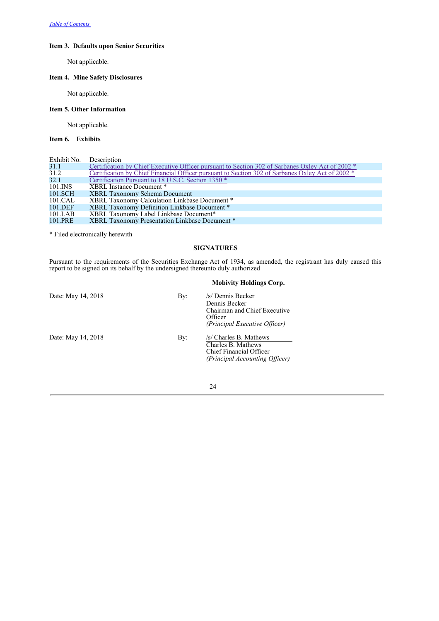## **Item 3. Defaults upon Senior Securities**

Not applicable.

## **Item 4. Mine Safety Disclosures**

Not applicable.

## **Item 5. Other Information**

Not applicable.

## **Item 6. Exhibits**

| Exhibit No. | Description                                                                                      |
|-------------|--------------------------------------------------------------------------------------------------|
| 31.1        | Certification by Chief Executive Officer pursuant to Section 302 of Sarbanes Oxley Act of 2002 * |
| 31.2        | Certification by Chief Financial Officer pursuant to Section 302 of Sarbanes Oxley Act of 2002 * |
| 32.1        | Certification Pursuant to 18 U.S.C. Section 1350 *                                               |
| 101.INS     | XBRL Instance Document *                                                                         |
| 101.SCH     | <b>XBRL Taxonomy Schema Document</b>                                                             |
| 101.CAL     | XBRL Taxonomy Calculation Linkbase Document *                                                    |
| 101.DEF     | XBRL Taxonomy Definition Linkbase Document *                                                     |
| 101.LAB     | XBRL Taxonomy Label Linkbase Document*                                                           |
| 101.PRE     | XBRL Taxonomy Presentation Linkbase Document *                                                   |

\* Filed electronically herewith

## **SIGNATURES**

Pursuant to the requirements of the Securities Exchange Act of 1934, as amended, the registrant has duly caused this report to be signed on its behalf by the undersigned thereunto duly authorized

## **Mobivity Holdings Corp.**

| Date: May 14, 2018 | By: | /s/ Dennis Becker<br>Dennis Becker<br>Chairman and Chief Executive<br>Officer<br>(Principal Executive Officer)   |
|--------------------|-----|------------------------------------------------------------------------------------------------------------------|
| Date: May 14, 2018 | By: | /s/ Charles B. Mathews<br>Charles B. Mathews<br>Chief Financial Officer<br><i>(Principal Accounting Officer)</i> |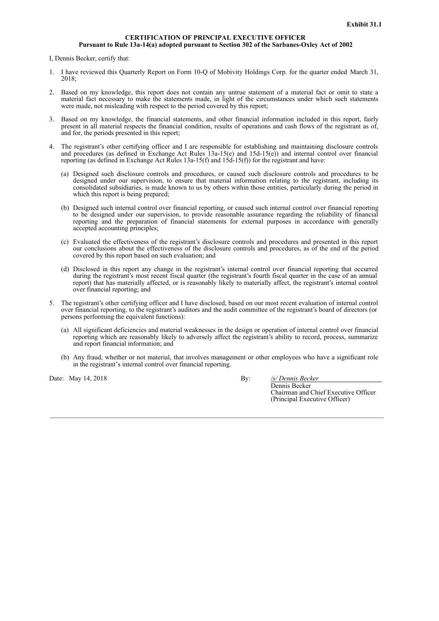#### **CERTIFICATION OF PRINCIPAL EXECUTIVE OFFICER Pursuant to Rule 13a-14(a) adopted pursuant to Section 302 of the Sarbanes-Oxley Act of 2002**

I, Dennis Becker, certify that:

- 1. I have reviewed this Quarterly Report on Form 10-Q of Mobivity Holdings Corp. for the quarter ended March 31,  $2018$
- 2. Based on my knowledge, this report does not contain any untrue statement of a material fact or omit to state a material fact necessary to make the statements made, in light of the circumstances under which such statements were made, not misleading with respect to the period covered by this report;
- 3. Based on my knowledge, the financial statements, and other financial information included in this report, fairly present in all material respects the financial condition, results of operations and cash flows of the registrant as of, and for, the periods presented in this report;
- 4. The registrant's other certifying officer and I are responsible for establishing and maintaining disclosure controls and procedures (as defined in Exchange Act Rules 13a-15(e) and 15d-15(e)) and internal control over financial reporting (as defined in Exchange Act Rules 13a-15(f) and  $1\overline{5d-15(f)}$  for the registrant and have:
	- (a) Designed such disclosure controls and procedures, or caused such disclosure controls and procedures to be designed under our supervision, to ensure that material information relating to the registrant, including its consolidated subsidiaries, is made known to us by others within those entities, particularly during the period in which this report is being prepared;
	- (b) Designed such internal control over financial reporting, or caused such internal control over financial reporting to be designed under our supervision, to provide reasonable assurance regarding the reliability of financial reporting and the preparation of financial statements for external purposes in accordance with generally accepted accounting principles;
	- (c) Evaluated the effectiveness of the registrant's disclosure controls and procedures and presented in this report our conclusions about the effectiveness of the disclosure controls and procedures, as of the end of the period covered by this report based on such evaluation; and
	- (d) Disclosed in this report any change in the registrant's internal control over financial reporting that occurred during the registrant's most recent fiscal quarter (the registrant's fourth fiscal quarter in the case of an annual report) that has materially affected, or is reasonably likely to materially affect, the registrant's internal control over financial reporting; and
- 5. The registrant's other certifying officer and I have disclosed, based on our most recent evaluation of internal control over financial reporting, to the registrant's auditors and the audit committee of the registrant's board of directors (or persons performing the equivalent functions):
	- (a) All significant deficiencies and material weaknesses in the design or operation of internal control over financial reporting which are reasonably likely to adversely affect the registrant's ability to record, process, summarize and report financial information; and
	- (b) Any fraud, whether or not material, that involves management or other employees who have a significant role in the registrant's internal control over financial reporting.

Date: May 14, 2018 By: */s/ Dennis Becker*

Dennis Becker Chairman and Chief Executive Officer (Principal Executive Officer)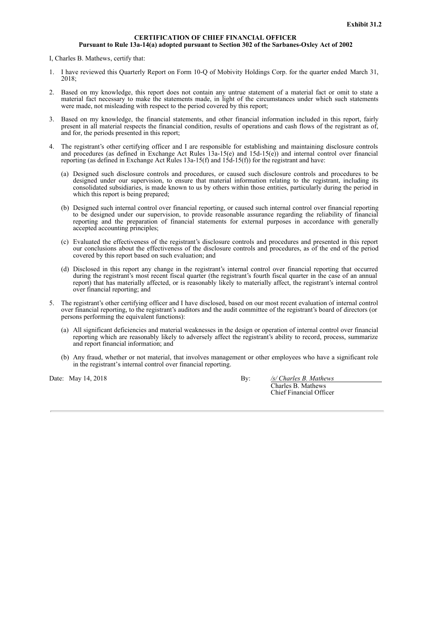#### **CERTIFICATION OF CHIEF FINANCIAL OFFICER Pursuant to Rule 13a-14(a) adopted pursuant to Section 302 of the Sarbanes-Oxley Act of 2002**

I, Charles B. Mathews, certify that:

- 1. I have reviewed this Quarterly Report on Form 10-Q of Mobivity Holdings Corp. for the quarter ended March 31,  $2018$
- 2. Based on my knowledge, this report does not contain any untrue statement of a material fact or omit to state a material fact necessary to make the statements made, in light of the circumstances under which such statements were made, not misleading with respect to the period covered by this report;
- 3. Based on my knowledge, the financial statements, and other financial information included in this report, fairly present in all material respects the financial condition, results of operations and cash flows of the registrant as of, and for, the periods presented in this report;
- 4. The registrant's other certifying officer and I are responsible for establishing and maintaining disclosure controls and procedures (as defined in Exchange Act Rules 13a-15(e) and 15d-15(e)) and internal control over financial reporting (as defined in Exchange Act Rules 13a-15(f) and 15d-15(f)) for the registrant and have:
	- (a) Designed such disclosure controls and procedures, or caused such disclosure controls and procedures to be designed under our supervision, to ensure that material information relating to the registrant, including its consolidated subsidiaries, is made known to us by others within those entities, particularly during the period in which this report is being prepared;
	- (b) Designed such internal control over financial reporting, or caused such internal control over financial reporting to be designed under our supervision, to provide reasonable assurance regarding the reliability of financial reporting and the preparation of financial statements for external purposes in accordance with generally accepted accounting principles;
	- (c) Evaluated the effectiveness of the registrant's disclosure controls and procedures and presented in this report our conclusions about the effectiveness of the disclosure controls and procedures, as of the end of the period covered by this report based on such evaluation; and
	- (d) Disclosed in this report any change in the registrant's internal control over financial reporting that occurred during the registrant's most recent fiscal quarter (the registrant's fourth fiscal quarter in the case of an annual report) that has materially affected, or is reasonably likely to materially affect, the registrant's internal control over financial reporting; and
- 5. The registrant's other certifying officer and I have disclosed, based on our most recent evaluation of internal control over financial reporting, to the registrant's auditors and the audit committee of the registrant's board of directors (or persons performing the equivalent functions):
	- (a) All significant deficiencies and material weaknesses in the design or operation of internal control over financial reporting which are reasonably likely to adversely affect the registrant's ability to record, process, summarize and report financial information; and
	- (b) Any fraud, whether or not material, that involves management or other employees who have a significant role in the registrant's internal control over financial reporting.

Date: May 14, 2018 **By:** */s/ Charles B. Mathews* **By:** */s/ Charles B. Mathews* Charles B. Mathews Chief Financial Officer